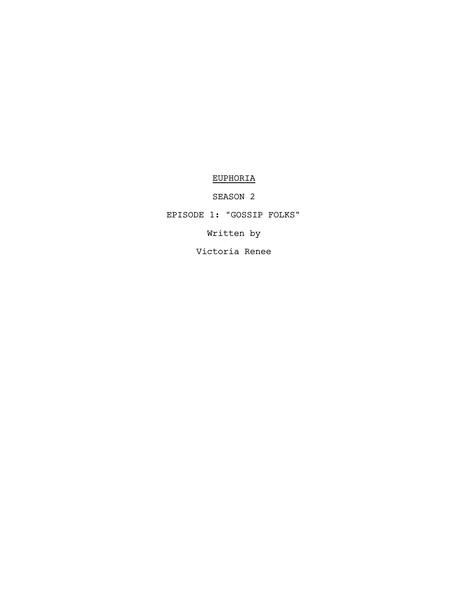# EUPHORIA

SEASON 2

EPISODE 1: "GOSSIP FOLKS"

Written by

Victoria Renee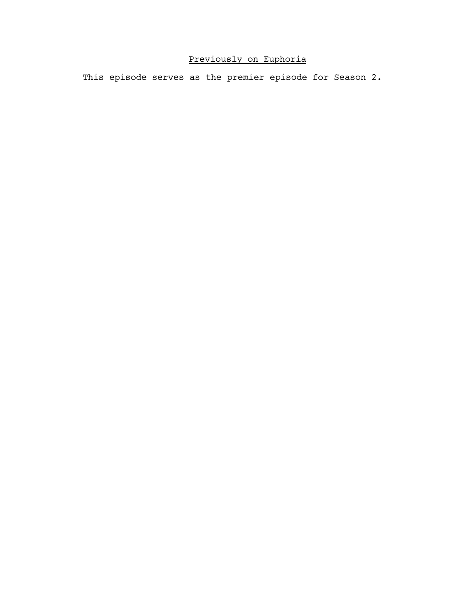# Previously on Euphoria

This episode serves as the premier episode for Season 2.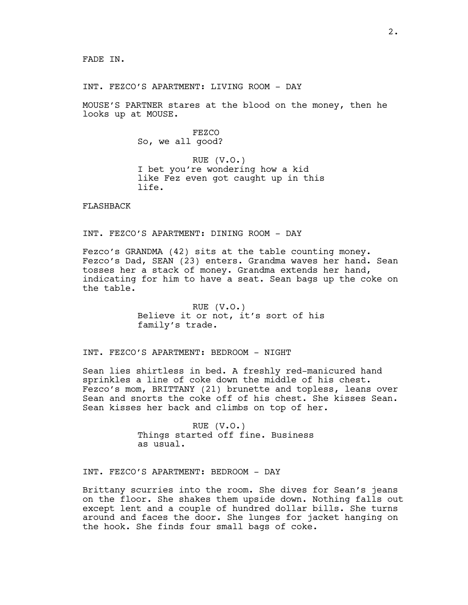INT. FEZCO'S APARTMENT: LIVING ROOM - DAY

MOUSE'S PARTNER stares at the blood on the money, then he looks up at MOUSE.

> FEZCO So, we all good?

RUE (V.O.) I bet you're wondering how a kid like Fez even got caught up in this life.

FLASHBACK

INT. FEZCO'S APARTMENT: DINING ROOM - DAY

Fezco's GRANDMA (42) sits at the table counting money. Fezco's Dad, SEAN (23) enters. Grandma waves her hand. Sean tosses her a stack of money. Grandma extends her hand, indicating for him to have a seat. Sean bags up the coke on the table.

> RUE (V.O.) Believe it or not, it's sort of his family's trade.

INT. FEZCO'S APARTMENT: BEDROOM - NIGHT

Sean lies shirtless in bed. A freshly red-manicured hand sprinkles a line of coke down the middle of his chest. Fezco's mom, BRITTANY (21) brunette and topless, leans over Sean and snorts the coke off of his chest. She kisses Sean. Sean kisses her back and climbs on top of her.

> RUE (V.O.) Things started off fine. Business as usual.

INT. FEZCO'S APARTMENT: BEDROOM - DAY

Brittany scurries into the room. She dives for Sean's jeans on the floor. She shakes them upside down. Nothing falls out except lent and a couple of hundred dollar bills. She turns around and faces the door. She lunges for jacket hanging on the hook. She finds four small bags of coke.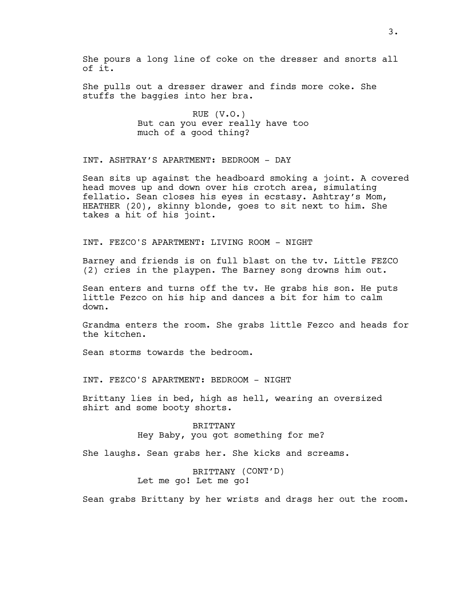She pours a long line of coke on the dresser and snorts all of it.

She pulls out a dresser drawer and finds more coke. She stuffs the baggies into her bra.

> RUE (V.O.) But can you ever really have too much of a good thing?

INT. ASHTRAY'S APARTMENT: BEDROOM - DAY

Sean sits up against the headboard smoking a joint. A covered head moves up and down over his crotch area, simulating fellatio. Sean closes his eyes in ecstasy. Ashtray's Mom, HEATHER (20), skinny blonde, goes to sit next to him. She takes a hit of his joint.

INT. FEZCO'S APARTMENT: LIVING ROOM - NIGHT

Barney and friends is on full blast on the tv. Little FEZCO (2) cries in the playpen. The Barney song drowns him out.

Sean enters and turns off the tv. He grabs his son. He puts little Fezco on his hip and dances a bit for him to calm down.

Grandma enters the room. She grabs little Fezco and heads for the kitchen.

Sean storms towards the bedroom.

INT. FEZCO'S APARTMENT: BEDROOM - NIGHT

Brittany lies in bed, high as hell, wearing an oversized shirt and some booty shorts.

> BRITTANY Hey Baby, you got something for me?

She laughs. Sean grabs her. She kicks and screams.

BRITTANY (CONT'D) Let me go! Let me go!

Sean grabs Brittany by her wrists and drags her out the room.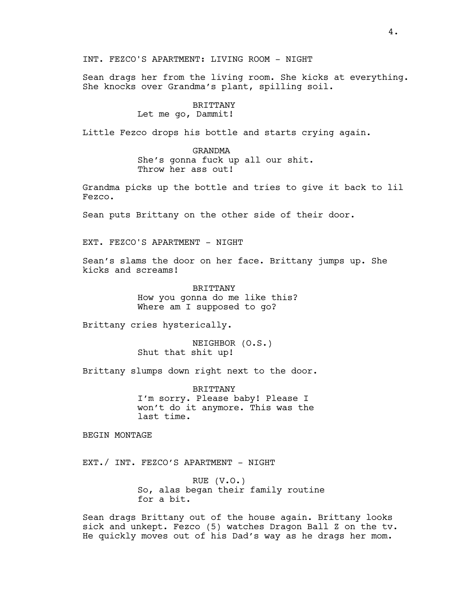INT. FEZCO'S APARTMENT: LIVING ROOM - NIGHT

Sean drags her from the living room. She kicks at everything. She knocks over Grandma's plant, spilling soil.

## BRITTANY Let me go, Dammit!

Little Fezco drops his bottle and starts crying again.

#### GRANDMA

She's gonna fuck up all our shit. Throw her ass out!

Grandma picks up the bottle and tries to give it back to lil Fezco.

Sean puts Brittany on the other side of their door.

EXT. FEZCO'S APARTMENT - NIGHT

Sean's slams the door on her face. Brittany jumps up. She kicks and screams!

> BRITTANY How you gonna do me like this? Where am I supposed to go?

Brittany cries hysterically.

NEIGHBOR (O.S.) Shut that shit up!

Brittany slumps down right next to the door.

BRITTANY I'm sorry. Please baby! Please I won't do it anymore. This was the last time.

BEGIN MONTAGE

EXT./ INT. FEZCO'S APARTMENT - NIGHT

RUE (V.O.) So, alas began their family routine for a bit.

Sean drags Brittany out of the house again. Brittany looks sick and unkept. Fezco (5) watches Dragon Ball Z on the tv. He quickly moves out of his Dad's way as he drags her mom.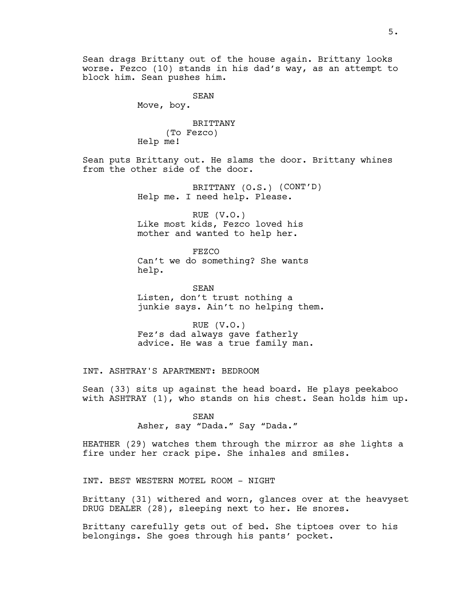Sean drags Brittany out of the house again. Brittany looks worse. Fezco (10) stands in his dad's way, as an attempt to block him. Sean pushes him.

SEAN

Move, boy.

BRITTANY (To Fezco) Help me!

Sean puts Brittany out. He slams the door. Brittany whines from the other side of the door.

> BRITTANY (O.S.) (CONT'D) Help me. I need help. Please.

RUE (V.O.) Like most kids, Fezco loved his mother and wanted to help her.

FEZCO Can't we do something? She wants help.

SEAN Listen, don't trust nothing a junkie says. Ain't no helping them.

RUE (V.O.) Fez's dad always gave fatherly advice. He was a true family man.

INT. ASHTRAY'S APARTMENT: BEDROOM

Sean (33) sits up against the head board. He plays peekaboo with ASHTRAY (1), who stands on his chest. Sean holds him up.

> SEAN Asher, say "Dada." Say "Dada."

HEATHER (29) watches them through the mirror as she lights a fire under her crack pipe. She inhales and smiles.

INT. BEST WESTERN MOTEL ROOM - NIGHT

Brittany (31) withered and worn, glances over at the heavyset DRUG DEALER (28), sleeping next to her. He snores.

Brittany carefully gets out of bed. She tiptoes over to his belongings. She goes through his pants' pocket.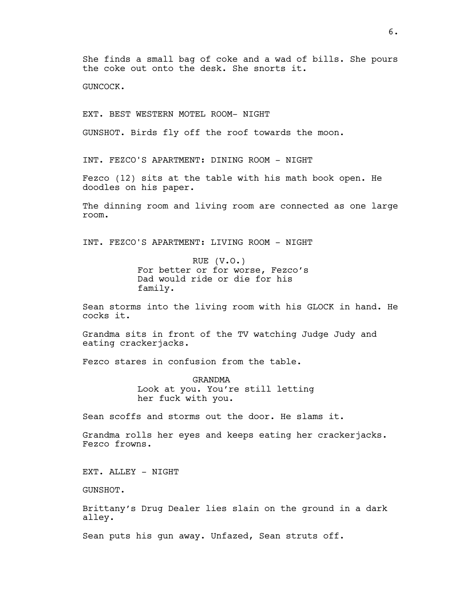She finds a small bag of coke and a wad of bills. She pours the coke out onto the desk. She snorts it.

GUNCOCK.

EXT. BEST WESTERN MOTEL ROOM- NIGHT

GUNSHOT. Birds fly off the roof towards the moon.

INT. FEZCO'S APARTMENT: DINING ROOM - NIGHT

Fezco (12) sits at the table with his math book open. He doodles on his paper.

The dinning room and living room are connected as one large room.

INT. FEZCO'S APARTMENT: LIVING ROOM - NIGHT

RUE (V.O.) For better or for worse, Fezco's Dad would ride or die for his family.

Sean storms into the living room with his GLOCK in hand. He cocks it.

Grandma sits in front of the TV watching Judge Judy and eating crackerjacks.

Fezco stares in confusion from the table.

GRANDMA Look at you. You're still letting her fuck with you.

Sean scoffs and storms out the door. He slams it.

Grandma rolls her eyes and keeps eating her crackerjacks. Fezco frowns.

EXT. ALLEY - NIGHT

GUNSHOT.

Brittany's Drug Dealer lies slain on the ground in a dark alley.

Sean puts his gun away. Unfazed, Sean struts off.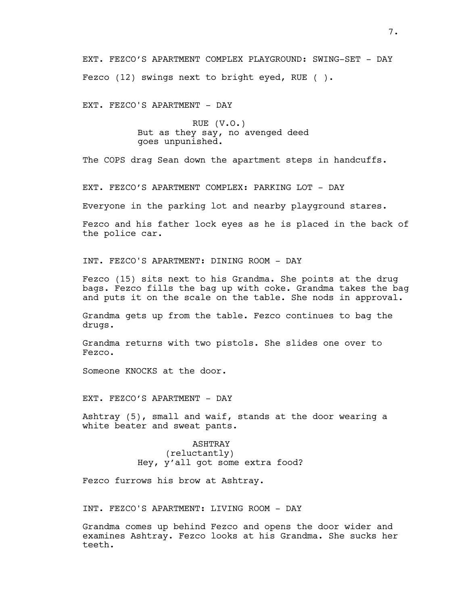EXT. FEZCO'S APARTMENT COMPLEX PLAYGROUND: SWING-SET - DAY Fezco (12) swings next to bright eyed, RUE ( ).

EXT. FEZCO'S APARTMENT - DAY

RUE (V.O.) But as they say, no avenged deed goes unpunished.

The COPS drag Sean down the apartment steps in handcuffs.

EXT. FEZCO'S APARTMENT COMPLEX: PARKING LOT - DAY

Everyone in the parking lot and nearby playground stares.

Fezco and his father lock eyes as he is placed in the back of the police car.

INT. FEZCO'S APARTMENT: DINING ROOM - DAY

Fezco (15) sits next to his Grandma. She points at the drug bags. Fezco fills the bag up with coke. Grandma takes the bag and puts it on the scale on the table. She nods in approval.

Grandma gets up from the table. Fezco continues to bag the drugs.

Grandma returns with two pistols. She slides one over to Fezco.

Someone KNOCKS at the door.

EXT. FEZCO'S APARTMENT - DAY

Ashtray (5), small and waif, stands at the door wearing a white beater and sweat pants.

> ASHTRAY (reluctantly) Hey, y'all got some extra food?

Fezco furrows his brow at Ashtray.

INT. FEZCO'S APARTMENT: LIVING ROOM - DAY

Grandma comes up behind Fezco and opens the door wider and examines Ashtray. Fezco looks at his Grandma. She sucks her teeth.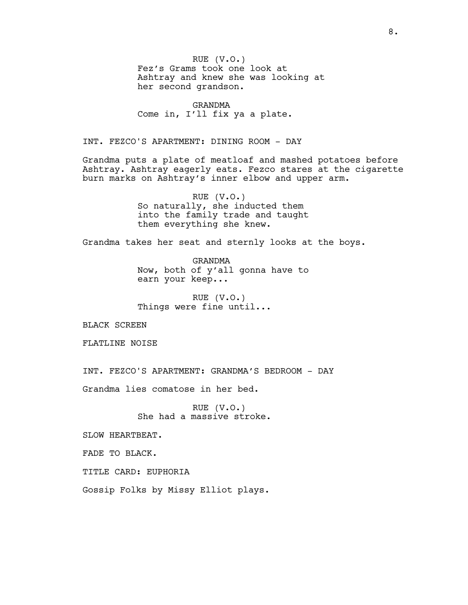RUE (V.O.) Fez's Grams took one look at Ashtray and knew she was looking at her second grandson.

GRANDMA Come in, I'll fix ya a plate.

INT. FEZCO'S APARTMENT: DINING ROOM - DAY

Grandma puts a plate of meatloaf and mashed potatoes before Ashtray. Ashtray eagerly eats. Fezco stares at the cigarette burn marks on Ashtray's inner elbow and upper arm.

> RUE (V.O.) So naturally, she inducted them into the family trade and taught them everything she knew.

Grandma takes her seat and sternly looks at the boys.

GRANDMA Now, both of y'all gonna have to earn your keep...

RUE (V.O.) Things were fine until...

BLACK SCREEN

FLATLINE NOISE

INT. FEZCO'S APARTMENT: GRANDMA'S BEDROOM - DAY

Grandma lies comatose in her bed.

RUE (V.O.) She had a massive stroke.

SLOW HEARTBEAT.

FADE TO BLACK.

TITLE CARD: EUPHORIA

Gossip Folks by Missy Elliot plays.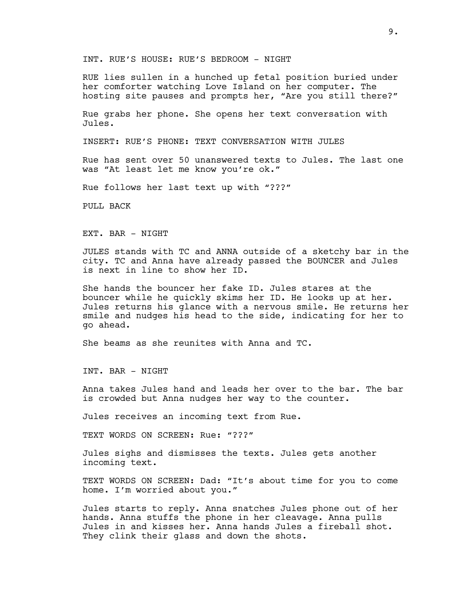INT. RUE'S HOUSE: RUE'S BEDROOM - NIGHT

RUE lies sullen in a hunched up fetal position buried under her comforter watching Love Island on her computer. The hosting site pauses and prompts her, "Are you still there?"

Rue grabs her phone. She opens her text conversation with Jules.

INSERT: RUE'S PHONE: TEXT CONVERSATION WITH JULES

Rue has sent over 50 unanswered texts to Jules. The last one was "At least let me know you're ok."

Rue follows her last text up with "???"

PULL BACK

EXT. BAR - NIGHT

JULES stands with TC and ANNA outside of a sketchy bar in the city. TC and Anna have already passed the BOUNCER and Jules is next in line to show her ID.

She hands the bouncer her fake ID. Jules stares at the bouncer while he quickly skims her ID. He looks up at her. Jules returns his glance with a nervous smile. He returns her smile and nudges his head to the side, indicating for her to go ahead.

She beams as she reunites with Anna and TC.

INT. BAR - NIGHT

Anna takes Jules hand and leads her over to the bar. The bar is crowded but Anna nudges her way to the counter.

Jules receives an incoming text from Rue.

TEXT WORDS ON SCREEN: Rue: "???"

Jules sighs and dismisses the texts. Jules gets another incoming text.

TEXT WORDS ON SCREEN: Dad: "It's about time for you to come home. I'm worried about you."

Jules starts to reply. Anna snatches Jules phone out of her hands. Anna stuffs the phone in her cleavage. Anna pulls Jules in and kisses her. Anna hands Jules a fireball shot. They clink their glass and down the shots.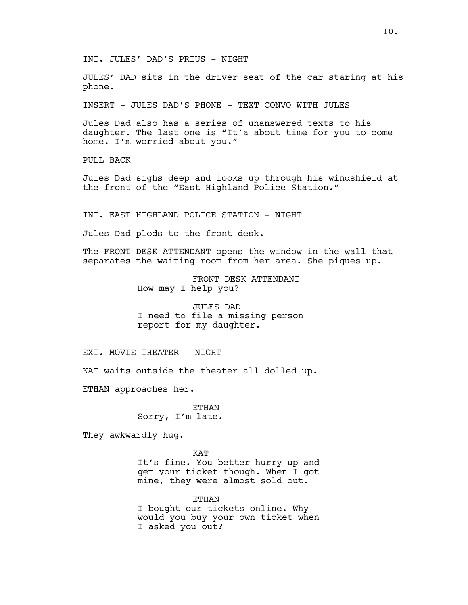INT. JULES' DAD'S PRIUS - NIGHT

JULES' DAD sits in the driver seat of the car staring at his phone.

INSERT - JULES DAD'S PHONE - TEXT CONVO WITH JULES

Jules Dad also has a series of unanswered texts to his daughter. The last one is "It'a about time for you to come home. I'm worried about you."

PULL BACK

Jules Dad sighs deep and looks up through his windshield at the front of the "East Highland Police Station."

INT. EAST HIGHLAND POLICE STATION - NIGHT

Jules Dad plods to the front desk.

The FRONT DESK ATTENDANT opens the window in the wall that separates the waiting room from her area. She piques up.

> FRONT DESK ATTENDANT How may I help you?

JULES DAD I need to file a missing person report for my daughter.

EXT. MOVIE THEATER - NIGHT

KAT waits outside the theater all dolled up.

ETHAN approaches her.

ETHAN Sorry, I'm late.

They awkwardly hug.

KAT It's fine. You better hurry up and get your ticket though. When I got mine, they were almost sold out.

ETHAN I bought our tickets online. Why would you buy your own ticket when I asked you out?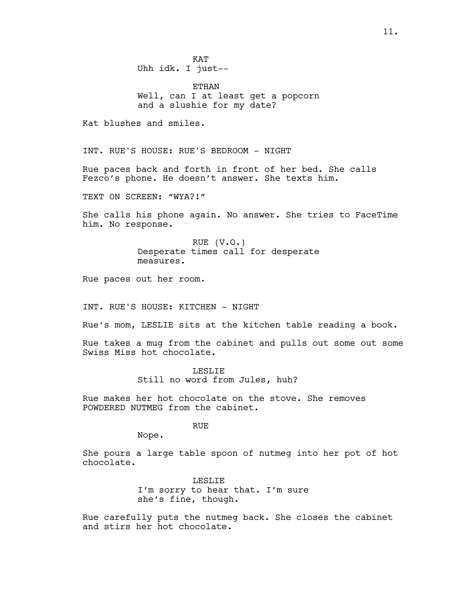**KAT** Uhh idk. I just--

ETHAN Well, can I at least get a popcorn and a slushie for my date?

Kat blushes and smiles.

INT. RUE'S HOUSE: RUE'S BEDROOM - NIGHT

Rue paces back and forth in front of her bed. She calls Fezco's phone. He doesn't answer. She texts him.

TEXT ON SCREEN: "WYA?!"

She calls his phone again. No answer. She tries to FaceTime him. No response.

> RUE (V.O.) Desperate times call for desperate measures.

Rue paces out her room.

INT. RUE'S HOUSE: KITCHEN - NIGHT

Rue's mom, LESLIE sits at the kitchen table reading a book.

Rue takes a mug from the cabinet and pulls out some out some Swiss Miss hot chocolate.

> LESLIE Still no word from Jules, huh?

Rue makes her hot chocolate on the stove. She removes POWDERED NUTMEG from the cabinet.

## RUE

Nope.

She pours a large table spoon of nutmeg into her pot of hot chocolate.

> LESLIE I'm sorry to hear that. I'm sure she's fine, though.

Rue carefully puts the nutmeg back. She closes the cabinet and stirs her hot chocolate.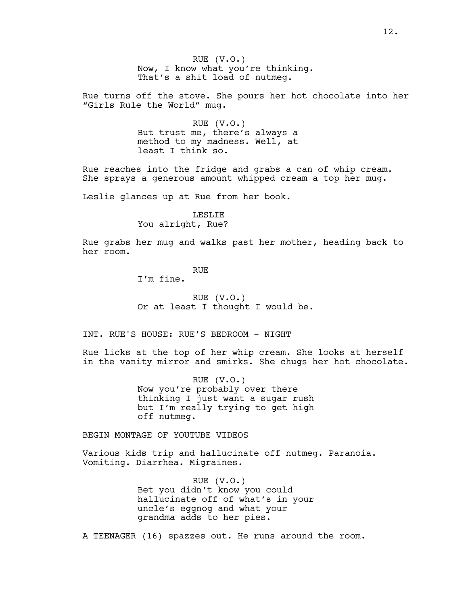RUE (V.O.) Now, I know what you're thinking. That's a shit load of nutmeg.

Rue turns off the stove. She pours her hot chocolate into her "Girls Rule the World" mug.

> RUE (V.O.) But trust me, there's always a method to my madness. Well, at least I think so.

Rue reaches into the fridge and grabs a can of whip cream. She sprays a generous amount whipped cream a top her mug.

Leslie glances up at Rue from her book.

# LESLIE You alright, Rue?

Rue grabs her mug and walks past her mother, heading back to her room.

# RUE

I'm fine.

RUE (V.O.) Or at least I thought I would be.

INT. RUE'S HOUSE: RUE'S BEDROOM - NIGHT

Rue licks at the top of her whip cream. She looks at herself in the vanity mirror and smirks. She chugs her hot chocolate.

> RUE (V.O.) Now you're probably over there thinking I just want a sugar rush but I'm really trying to get high off nutmeg.

BEGIN MONTAGE OF YOUTUBE VIDEOS

Various kids trip and hallucinate off nutmeg. Paranoia. Vomiting. Diarrhea. Migraines.

> RUE (V.O.) Bet you didn't know you could hallucinate off of what's in your uncle's eggnog and what your grandma adds to her pies.

A TEENAGER (16) spazzes out. He runs around the room.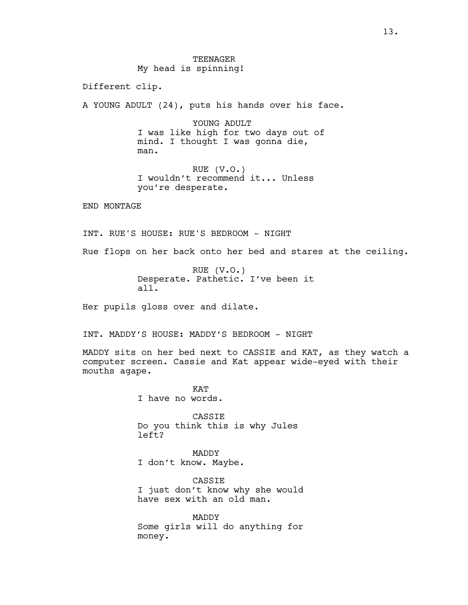Different clip.

A YOUNG ADULT (24), puts his hands over his face.

YOUNG ADULT I was like high for two days out of mind. I thought I was gonna die, man.

RUE (V.O.) I wouldn't recommend it... Unless you're desperate.

END MONTAGE

INT. RUE'S HOUSE: RUE'S BEDROOM - NIGHT

Rue flops on her back onto her bed and stares at the ceiling.

RUE (V.O.) Desperate. Pathetic. I've been it all.

Her pupils gloss over and dilate.

INT. MADDY'S HOUSE: MADDY'S BEDROOM - NIGHT

MADDY sits on her bed next to CASSIE and KAT, as they watch a computer screen. Cassie and Kat appear wide-eyed with their mouths agape.

> **KAT** I have no words.

CASSIE Do you think this is why Jules left?

MADDY I don't know. Maybe.

CASSIE I just don't know why she would have sex with an old man.

MADDY Some girls will do anything for money.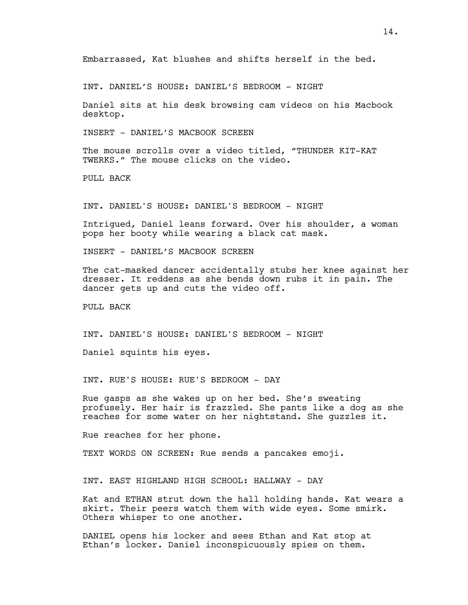Embarrassed, Kat blushes and shifts herself in the bed.

INT. DANIEL'S HOUSE: DANIEL'S BEDROOM - NIGHT

Daniel sits at his desk browsing cam videos on his Macbook desktop.

INSERT - DANIEL'S MACBOOK SCREEN

The mouse scrolls over a video titled, "THUNDER KIT-KAT TWERKS." The mouse clicks on the video.

PULL BACK

INT. DANIEL'S HOUSE: DANIEL'S BEDROOM - NIGHT

Intrigued, Daniel leans forward. Over his shoulder, a woman pops her booty while wearing a black cat mask.

INSERT - DANIEL'S MACBOOK SCREEN

The cat-masked dancer accidentally stubs her knee against her dresser. It reddens as she bends down rubs it in pain. The dancer gets up and cuts the video off.

PULL BACK

INT. DANIEL'S HOUSE: DANIEL'S BEDROOM - NIGHT

Daniel squints his eyes.

INT. RUE'S HOUSE: RUE'S BEDROOM - DAY

Rue gasps as she wakes up on her bed. She's sweating profusely. Her hair is frazzled. She pants like a dog as she reaches for some water on her nightstand. She guzzles it.

Rue reaches for her phone.

TEXT WORDS ON SCREEN: Rue sends a pancakes emoji.

INT. EAST HIGHLAND HIGH SCHOOL: HALLWAY - DAY

Kat and ETHAN strut down the hall holding hands. Kat wears a skirt. Their peers watch them with wide eyes. Some smirk. Others whisper to one another.

DANIEL opens his locker and sees Ethan and Kat stop at Ethan's locker. Daniel inconspicuously spies on them.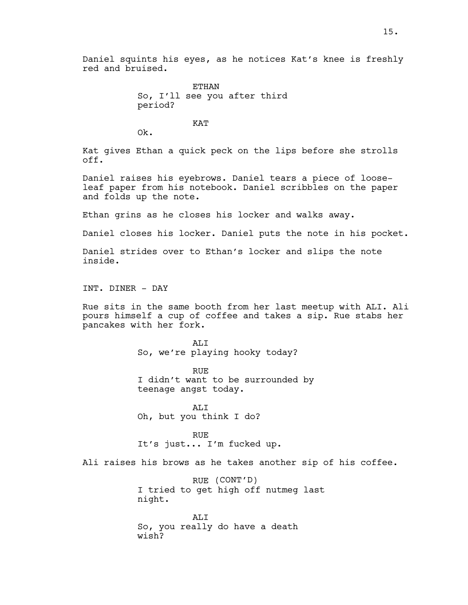ETHAN So, I'll see you after third period?

KAT

Ok.

Kat gives Ethan a quick peck on the lips before she strolls off.

Daniel raises his eyebrows. Daniel tears a piece of looseleaf paper from his notebook. Daniel scribbles on the paper and folds up the note.

Ethan grins as he closes his locker and walks away.

Daniel closes his locker. Daniel puts the note in his pocket.

Daniel strides over to Ethan's locker and slips the note inside.

INT. DINER - DAY

Rue sits in the same booth from her last meetup with ALI. Ali pours himself a cup of coffee and takes a sip. Rue stabs her pancakes with her fork.

> AT<sub>I</sub>T So, we're playing hooky today?

RUE I didn't want to be surrounded by teenage angst today.

ALI Oh, but you think I do?

RUE It's just... I'm fucked up.

Ali raises his brows as he takes another sip of his coffee.

RUE (CONT'D) I tried to get high off nutmeg last night. ALI

So, you really do have a death wish?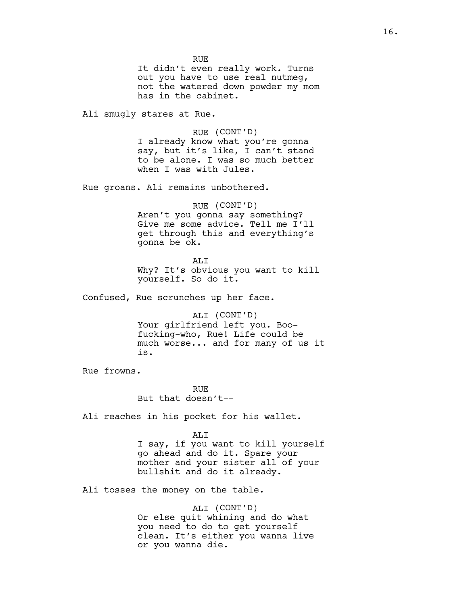RUE It didn't even really work. Turns out you have to use real nutmeg, not the watered down powder my mom has in the cabinet.

Ali smugly stares at Rue.

RUE (CONT'D) I already know what you're gonna say, but it's like, I can't stand to be alone. I was so much better when I was with Jules.

Rue groans. Ali remains unbothered.

RUE (CONT'D) Aren't you gonna say something? Give me some advice. Tell me I'll get through this and everything's gonna be ok.

ALI Why? It's obvious you want to kill yourself. So do it.

Confused, Rue scrunches up her face.

ALI (CONT'D) Your girlfriend left you. Boofucking-who, Rue! Life could be much worse... and for many of us it is.

Rue frowns.

RUE But that doesn't--

Ali reaches in his pocket for his wallet.

ALI

I say, if you want to kill yourself go ahead and do it. Spare your mother and your sister all of your bullshit and do it already.

Ali tosses the money on the table.

ALI (CONT'D) Or else quit whining and do what you need to do to get yourself clean. It's either you wanna live or you wanna die.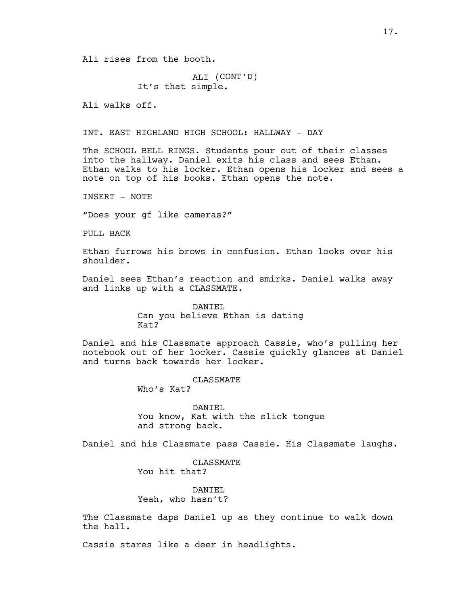Ali rises from the booth.

ALI (CONT'D) It's that simple.

Ali walks off.

INT. EAST HIGHLAND HIGH SCHOOL: HALLWAY - DAY

The SCHOOL BELL RINGS. Students pour out of their classes into the hallway. Daniel exits his class and sees Ethan. Ethan walks to his locker. Ethan opens his locker and sees a note on top of his books. Ethan opens the note.

INSERT - NOTE

"Does your gf like cameras?"

PULL BACK

Ethan furrows his brows in confusion. Ethan looks over his shoulder.

Daniel sees Ethan's reaction and smirks. Daniel walks away and links up with a CLASSMATE.

> DANIEL Can you believe Ethan is dating Kat?

Daniel and his Classmate approach Cassie, who's pulling her notebook out of her locker. Cassie quickly glances at Daniel and turns back towards her locker.

CLASSMATE

Who's Kat?

DANIEL You know, Kat with the slick tongue and strong back.

Daniel and his Classmate pass Cassie. His Classmate laughs.

CLASSMATE You hit that?

DANIEL Yeah, who hasn't?

The Classmate daps Daniel up as they continue to walk down the hall.

Cassie stares like a deer in headlights.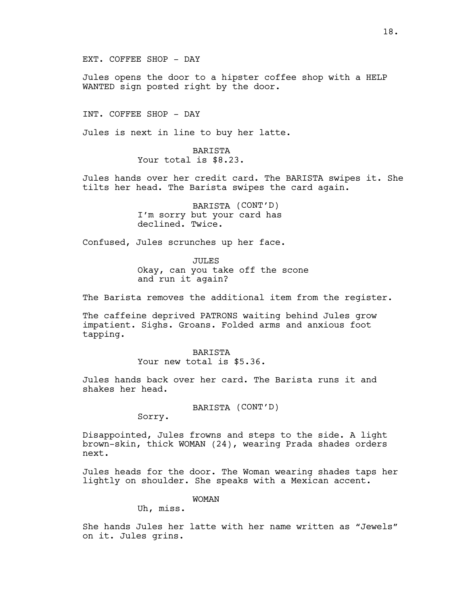EXT. COFFEE SHOP - DAY

Jules opens the door to a hipster coffee shop with a HELP WANTED sign posted right by the door.

INT. COFFEE SHOP - DAY

Jules is next in line to buy her latte.

BARISTA Your total is  $$8.23$ .

Jules hands over her credit card. The BARISTA swipes it. She tilts her head. The Barista swipes the card again.

> BARISTA (CONT'D) I'm sorry but your card has declined. Twice.

Confused, Jules scrunches up her face.

JULES Okay, can you take off the scone and run it again?

The Barista removes the additional item from the register.

The caffeine deprived PATRONS waiting behind Jules grow impatient. Sighs. Groans. Folded arms and anxious foot tapping.

> BARISTA Your new total is \$5.36.

Jules hands back over her card. The Barista runs it and shakes her head.

BARISTA (CONT'D)

Sorry.

Disappointed, Jules frowns and steps to the side. A light brown-skin, thick WOMAN (24), wearing Prada shades orders next.

Jules heads for the door. The Woman wearing shades taps her lightly on shoulder. She speaks with a Mexican accent.

WOMAN

Uh, miss.

She hands Jules her latte with her name written as "Jewels" on it. Jules grins.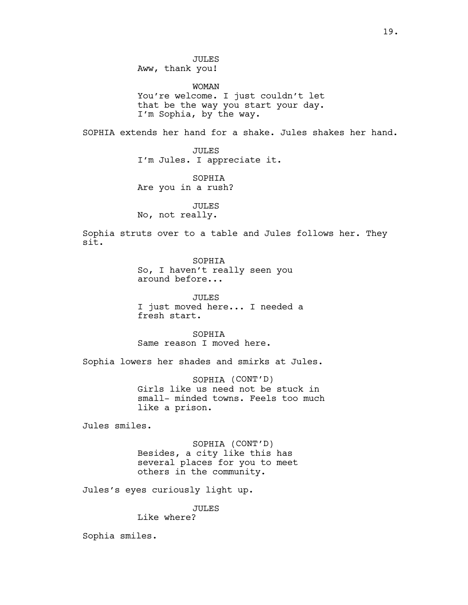WOMAN You're welcome. I just couldn't let that be the way you start your day. I'm Sophia, by the way.

SOPHIA extends her hand for a shake. Jules shakes her hand.

JULES I'm Jules. I appreciate it.

SOPHIA Are you in a rush?

JULES No, not really.

Sophia struts over to a table and Jules follows her. They sit.

> SOPHIA So, I haven't really seen you around before...

JULES I just moved here... I needed a fresh start.

SOPHIA Same reason I moved here.

Sophia lowers her shades and smirks at Jules.

SOPHIA (CONT'D) Girls like us need not be stuck in small- minded towns. Feels too much like a prison.

Jules smiles.

SOPHIA (CONT'D) Besides, a city like this has several places for you to meet others in the community.

Jules's eyes curiously light up.

JULES

Like where?

Sophia smiles.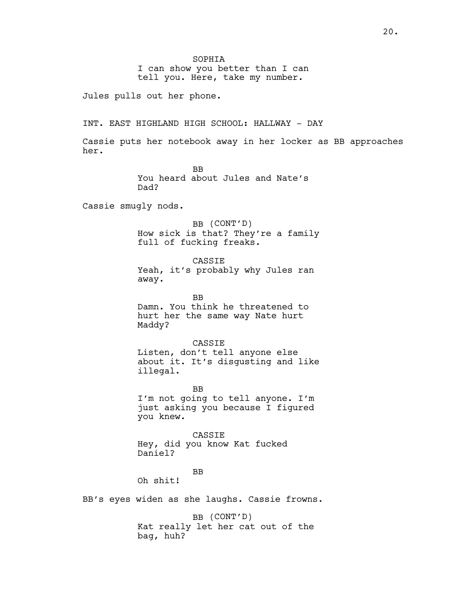I can show you better than I can tell you. Here, take my number.

Jules pulls out her phone.

INT. EAST HIGHLAND HIGH SCHOOL: HALLWAY - DAY

Cassie puts her notebook away in her locker as BB approaches her.

> BB You heard about Jules and Nate's Dad?

Cassie smugly nods.

BB (CONT'D) How sick is that? They're a family full of fucking freaks.

CASSIE

Yeah, it's probably why Jules ran away.

BB Damn. You think he threatened to hurt her the same way Nate hurt Maddy?

#### CASSIE

Listen, don't tell anyone else about it. It's disgusting and like illegal.

BB I'm not going to tell anyone. I'm just asking you because I figured you knew.

CASSIE Hey, did you know Kat fucked Daniel?

BB

Oh shit!

BB's eyes widen as she laughs. Cassie frowns.

BB (CONT'D) Kat really let her cat out of the bag, huh?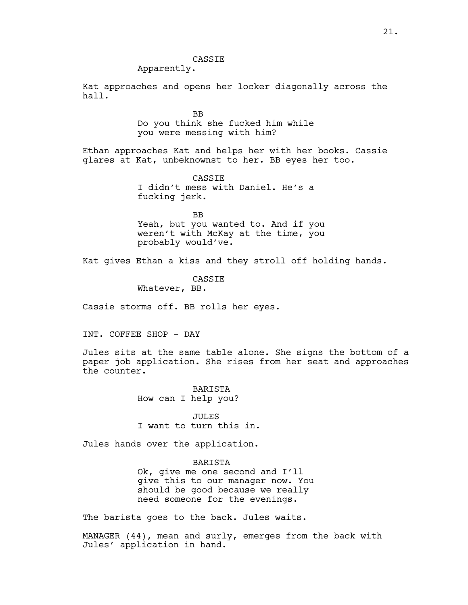# CASSIE

# Apparently.

Kat approaches and opens her locker diagonally across the hall.

> BB Do you think she fucked him while you were messing with him?

Ethan approaches Kat and helps her with her books. Cassie glares at Kat, unbeknownst to her. BB eyes her too.

> CASSIE I didn't mess with Daniel. He's a fucking jerk.

BB Yeah, but you wanted to. And if you weren't with McKay at the time, you probably would've.

Kat gives Ethan a kiss and they stroll off holding hands.

**CASSTE** Whatever, BB.

Cassie storms off. BB rolls her eyes.

INT. COFFEE SHOP - DAY

Jules sits at the same table alone. She signs the bottom of a paper job application. She rises from her seat and approaches the counter.

> BARISTA How can I help you?

JULES I want to turn this in.

Jules hands over the application.

## BARISTA

Ok, give me one second and I'll give this to our manager now. You should be good because we really need someone for the evenings.

The barista goes to the back. Jules waits.

MANAGER (44), mean and surly, emerges from the back with Jules' application in hand.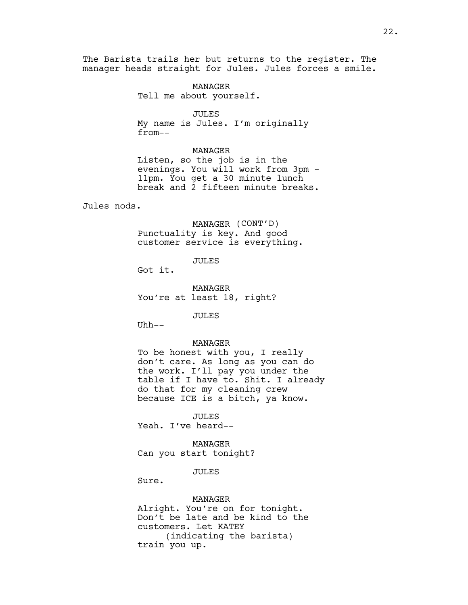The Barista trails her but returns to the register. The manager heads straight for Jules. Jules forces a smile.

> MANAGER Tell me about yourself.

> > JULES

My name is Jules. I'm originally from--

# MANAGER

Listen, so the job is in the evenings. You will work from 3pm - 11pm. You get a 30 minute lunch break and 2 fifteen minute breaks.

Jules nods.

MANAGER (CONT'D) Punctuality is key. And good customer service is everything.

JULES

Got it.

MANAGER You're at least 18, right?

JULES

Uhh--

## MANAGER

To be honest with you, I really don't care. As long as you can do the work. I'll pay you under the table if I have to. Shit. I already do that for my cleaning crew because ICE is a bitch, ya know.

JULES Yeah. I've heard--

MANAGER Can you start tonight?

JULES

Sure.

MANAGER Alright. You're on for tonight. Don't be late and be kind to the customers. Let KATEY (indicating the barista) train you up.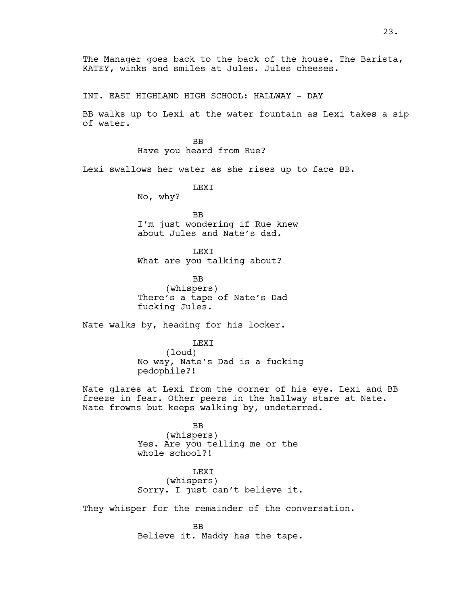The Manager goes back to the back of the house. The Barista, KATEY, winks and smiles at Jules. Jules cheeses.

INT. EAST HIGHLAND HIGH SCHOOL: HALLWAY - DAY

BB walks up to Lexi at the water fountain as Lexi takes a sip of water.

> BB Have you heard from Rue?

Lexi swallows her water as she rises up to face BB.

LEXI

No, why?

BB I'm just wondering if Rue knew about Jules and Nate's dad.

LEXI What are you talking about?

BB (whispers) There's a tape of Nate's Dad fucking Jules.

Nate walks by, heading for his locker.

LEXI (loud) No way, Nate's Dad is a fucking pedophile?!

Nate glares at Lexi from the corner of his eye. Lexi and BB freeze in fear. Other peers in the hallway stare at Nate. Nate frowns but keeps walking by, undeterred.

> BB (whispers) Yes. Are you telling me or the whole school?!

LEXI (whispers) Sorry. I just can't believe it.

They whisper for the remainder of the conversation.

BB Believe it. Maddy has the tape.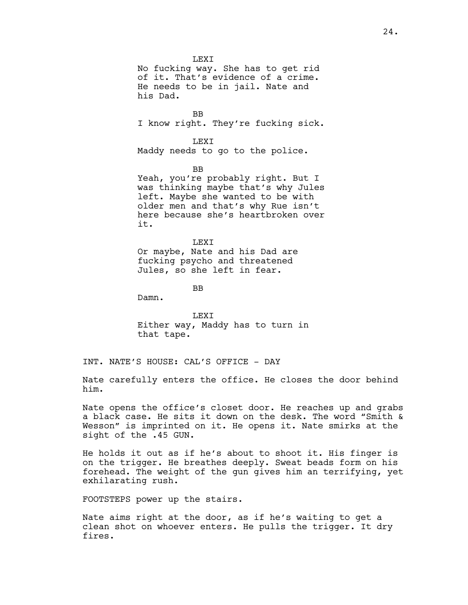**LEXT** No fucking way. She has to get rid of it. That's evidence of a crime. He needs to be in jail. Nate and his Dad.

BB I know right. They're fucking sick.

LEXI Maddy needs to go to the police.

BB Yeah, you're probably right. But I was thinking maybe that's why Jules left. Maybe she wanted to be with older men and that's why Rue isn't here because she's heartbroken over it.

LEXI Or maybe, Nate and his Dad are fucking psycho and threatened Jules, so she left in fear.

BB

Damn.

LEXI Either way, Maddy has to turn in that tape.

INT. NATE'S HOUSE: CAL'S OFFICE - DAY

Nate carefully enters the office. He closes the door behind him.

Nate opens the office's closet door. He reaches up and grabs a black case. He sits it down on the desk. The word "Smith & Wesson" is imprinted on it. He opens it. Nate smirks at the sight of the .45 GUN.

He holds it out as if he's about to shoot it. His finger is on the trigger. He breathes deeply. Sweat beads form on his forehead. The weight of the gun gives him an terrifying, yet exhilarating rush.

FOOTSTEPS power up the stairs.

Nate aims right at the door, as if he's waiting to get a clean shot on whoever enters. He pulls the trigger. It dry fires.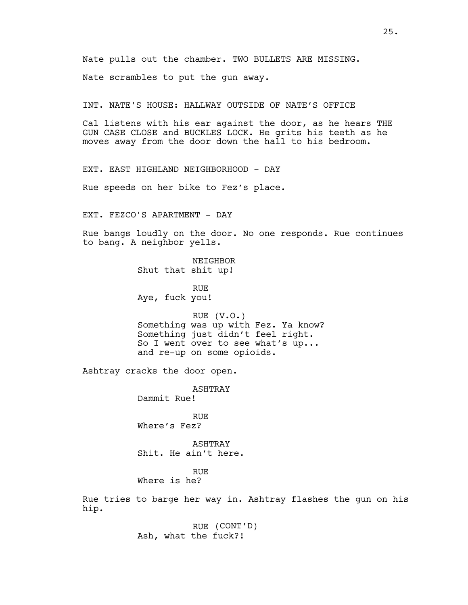Nate pulls out the chamber. TWO BULLETS ARE MISSING.

Nate scrambles to put the gun away.

INT. NATE'S HOUSE: HALLWAY OUTSIDE OF NATE'S OFFICE

Cal listens with his ear against the door, as he hears THE GUN CASE CLOSE and BUCKLES LOCK. He grits his teeth as he moves away from the door down the hall to his bedroom.

EXT. EAST HIGHLAND NEIGHBORHOOD - DAY

Rue speeds on her bike to Fez's place.

EXT. FEZCO'S APARTMENT - DAY

Rue bangs loudly on the door. No one responds. Rue continues to bang. A neighbor yells.

> **NETGHBOR** Shut that shit up!

RUE Aye, fuck you!

RUE (V.O.) Something was up with Fez. Ya know? Something just didn't feel right. So I went over to see what's up... and re-up on some opioids.

Ashtray cracks the door open.

ASHTRAY

Dammit Rue!

RUE Where's Fez?

ASHTRAY Shit. He ain't here.

RUE Where is he?

Rue tries to barge her way in. Ashtray flashes the gun on his hip.

> RUE (CONT'D) Ash, what the fuck?!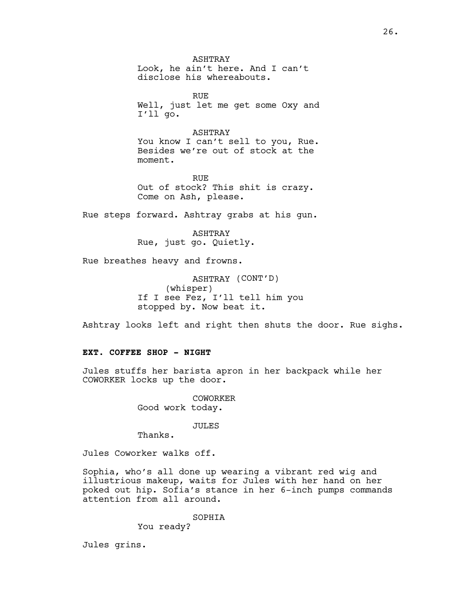ASHTRAY Look, he ain't here. And I can't disclose his whereabouts.

RUE Well, just let me get some Oxy and I'll go.

#### ASHTRAY

You know I can't sell to you, Rue. Besides we're out of stock at the moment.

RUE Out of stock? This shit is crazy. Come on Ash, please.

Rue steps forward. Ashtray grabs at his gun.

ASHTRAY Rue, just go. Quietly.

Rue breathes heavy and frowns.

ASHTRAY (CONT'D) (whisper) If I see Fez, I'll tell him you stopped by. Now beat it.

Ashtray looks left and right then shuts the door. Rue sighs.

# **EXT. COFFEE SHOP - NIGHT**

Jules stuffs her barista apron in her backpack while her COWORKER locks up the door.

> COWORKER Good work today.

> > JULES

Thanks.

Jules Coworker walks off.

Sophia, who's all done up wearing a vibrant red wig and illustrious makeup, waits for Jules with her hand on her poked out hip. Sofia's stance in her 6-inch pumps commands attention from all around.

SOPHIA

You ready?

Jules grins.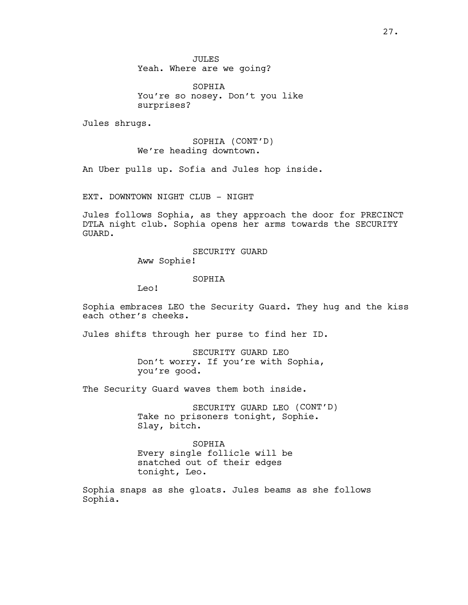JULES Yeah. Where are we going?

SOPHIA You're so nosey. Don't you like surprises?

Jules shrugs.

SOPHIA (CONT'D) We're heading downtown.

An Uber pulls up. Sofia and Jules hop inside.

EXT. DOWNTOWN NIGHT CLUB - NIGHT

Jules follows Sophia, as they approach the door for PRECINCT DTLA night club. Sophia opens her arms towards the SECURITY GUARD.

> SECURITY GUARD Aww Sophie!

> > SOPHIA

Leo!

Sophia embraces LEO the Security Guard. They hug and the kiss each other's cheeks.

Jules shifts through her purse to find her ID.

SECURITY GUARD LEO Don't worry. If you're with Sophia, you're good.

The Security Guard waves them both inside.

SECURITY GUARD LEO (CONT'D) Take no prisoners tonight, Sophie. Slay, bitch.

SOPHIA Every single follicle will be snatched out of their edges tonight, Leo.

Sophia snaps as she gloats. Jules beams as she follows Sophia.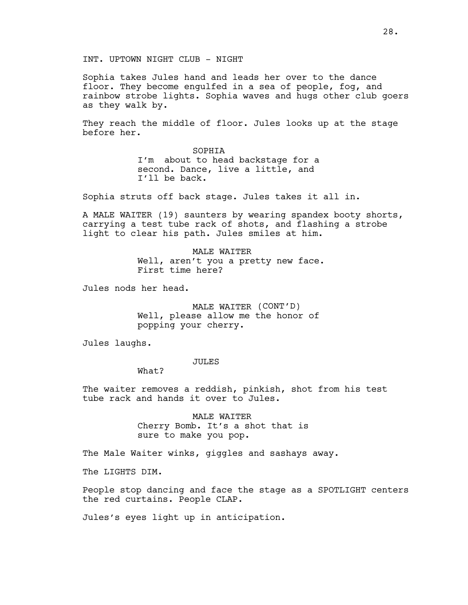INT. UPTOWN NIGHT CLUB - NIGHT

Sophia takes Jules hand and leads her over to the dance floor. They become engulfed in a sea of people, fog, and rainbow strobe lights. Sophia waves and hugs other club goers as they walk by.

They reach the middle of floor. Jules looks up at the stage before her.

> SOPHIA I'm about to head backstage for a second. Dance, live a little, and I'll be back.

Sophia struts off back stage. Jules takes it all in.

A MALE WAITER (19) saunters by wearing spandex booty shorts, carrying a test tube rack of shots, and flashing a strobe light to clear his path. Jules smiles at him.

> MALE WAITER Well, aren't you a pretty new face. First time here?

Jules nods her head.

MALE WAITER (CONT'D) Well, please allow me the honor of popping your cherry.

Jules laughs.

### JULES

What?

The waiter removes a reddish, pinkish, shot from his test tube rack and hands it over to Jules.

> MALE WAITER Cherry Bomb. It's a shot that is sure to make you pop.

The Male Waiter winks, giggles and sashays away.

The LIGHTS DIM.

People stop dancing and face the stage as a SPOTLIGHT centers the red curtains. People CLAP.

Jules's eyes light up in anticipation.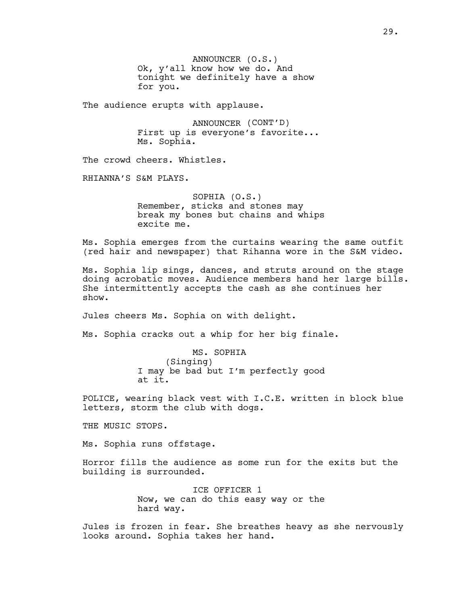ANNOUNCER (O.S.) Ok, y'all know how we do. And tonight we definitely have a show for you.

The audience erupts with applause.

ANNOUNCER (CONT'D) First up is everyone's favorite... Ms. Sophia.

The crowd cheers. Whistles.

RHIANNA'S S&M PLAYS.

SOPHIA (O.S.) Remember, sticks and stones may break my bones but chains and whips excite me.

Ms. Sophia emerges from the curtains wearing the same outfit (red hair and newspaper) that Rihanna wore in the S&M video.

Ms. Sophia lip sings, dances, and struts around on the stage doing acrobatic moves. Audience members hand her large bills. She intermittently accepts the cash as she continues her show.

Jules cheers Ms. Sophia on with delight.

Ms. Sophia cracks out a whip for her big finale.

MS. SOPHIA (Singing) I may be bad but I'm perfectly good at it.

POLICE, wearing black vest with I.C.E. written in block blue letters, storm the club with dogs.

THE MUSIC STOPS.

Ms. Sophia runs offstage.

Horror fills the audience as some run for the exits but the building is surrounded.

> ICE OFFICER 1 Now, we can do this easy way or the hard way.

Jules is frozen in fear. She breathes heavy as she nervously looks around. Sophia takes her hand.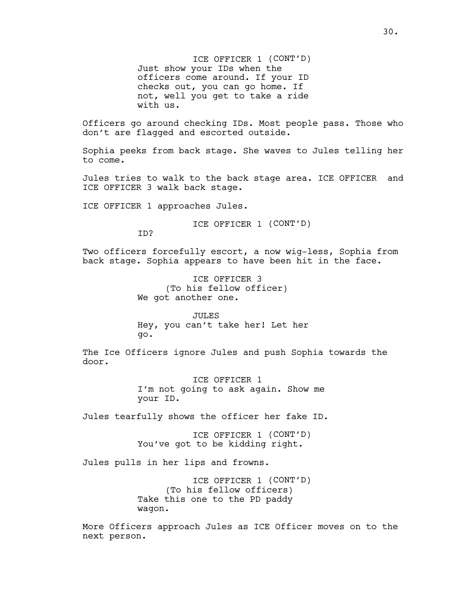ICE OFFICER 1 (CONT'D) Just show your IDs when the officers come around. If your ID checks out, you can go home. If not, well you get to take a ride with us.

Officers go around checking IDs. Most people pass. Those who don't are flagged and escorted outside.

Sophia peeks from back stage. She waves to Jules telling her to come.

Jules tries to walk to the back stage area. ICE OFFICER and ICE OFFICER 3 walk back stage.

ICE OFFICER 1 approaches Jules.

ICE OFFICER 1 (CONT'D)

ID?

Two officers forcefully escort, a now wig-less, Sophia from back stage. Sophia appears to have been hit in the face.

> ICE OFFICER 3 (To his fellow officer) We got another one.

JULES Hey, you can't take her! Let her go.

The Ice Officers ignore Jules and push Sophia towards the door.

> ICE OFFICER 1 I'm not going to ask again. Show me your ID.

Jules tearfully shows the officer her fake ID.

ICE OFFICER 1 (CONT'D) You've got to be kidding right.

Jules pulls in her lips and frowns.

ICE OFFICER 1 (CONT'D) (To his fellow officers) Take this one to the PD paddy wagon.

More Officers approach Jules as ICE Officer moves on to the next person.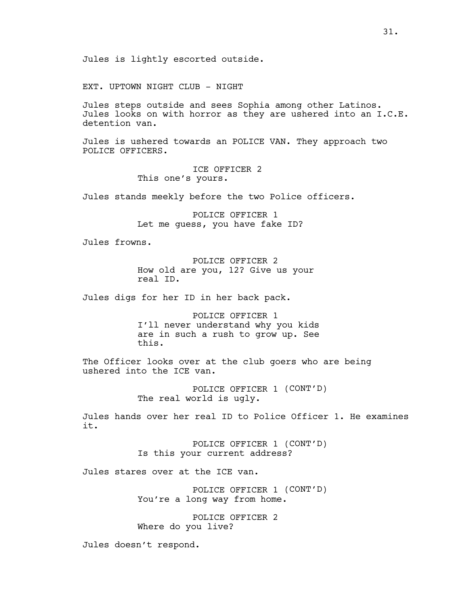EXT. UPTOWN NIGHT CLUB - NIGHT

Jules steps outside and sees Sophia among other Latinos. Jules looks on with horror as they are ushered into an I.C.E. detention van.

Jules is ushered towards an POLICE VAN. They approach two POLICE OFFICERS.

> ICE OFFICER 2 This one's yours.

Jules stands meekly before the two Police officers.

POLICE OFFICER 1 Let me guess, you have fake ID?

Jules frowns.

POLICE OFFICER 2 How old are you, 12? Give us your real ID.

Jules digs for her ID in her back pack.

POLICE OFFICER 1 I'll never understand why you kids are in such a rush to grow up. See this.

The Officer looks over at the club goers who are being ushered into the ICE van.

> POLICE OFFICER 1 (CONT'D) The real world is ugly.

Jules hands over her real ID to Police Officer 1. He examines it.

> POLICE OFFICER 1 (CONT'D) Is this your current address?

Jules stares over at the ICE van.

POLICE OFFICER 1 (CONT'D) You're a long way from home.

POLICE OFFICER 2 Where do you live?

Jules doesn't respond.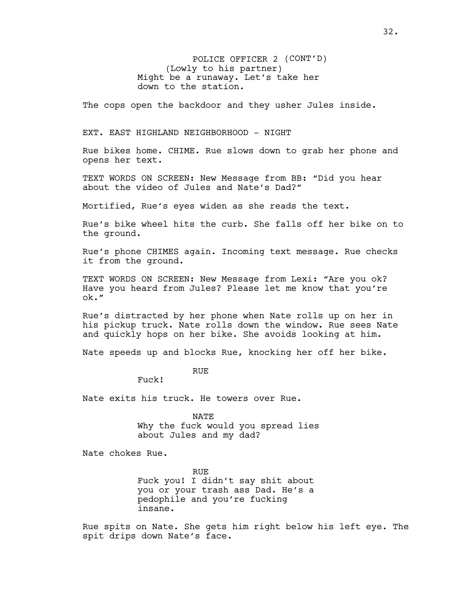POLICE OFFICER 2 (CONT'D) (Lowly to his partner) Might be a runaway. Let's take her down to the station.

The cops open the backdoor and they usher Jules inside.

### EXT. EAST HIGHLAND NEIGHBORHOOD - NIGHT

Rue bikes home. CHIME. Rue slows down to grab her phone and opens her text.

TEXT WORDS ON SCREEN: New Message from BB: "Did you hear about the video of Jules and Nate's Dad?"

Mortified, Rue's eyes widen as she reads the text.

Rue's bike wheel hits the curb. She falls off her bike on to the ground.

Rue's phone CHIMES again. Incoming text message. Rue checks it from the ground.

TEXT WORDS ON SCREEN: New Message from Lexi: "Are you ok? Have you heard from Jules? Please let me know that you're ok."

Rue's distracted by her phone when Nate rolls up on her in his pickup truck. Nate rolls down the window. Rue sees Nate and quickly hops on her bike. She avoids looking at him.

Nate speeds up and blocks Rue, knocking her off her bike.

RUE

Fuck!

Nate exits his truck. He towers over Rue.

NATE Why the fuck would you spread lies about Jules and my dad?

Nate chokes Rue.

RUE Fuck you! I didn't say shit about you or your trash ass Dad. He's a pedophile and you're fucking insane.

Rue spits on Nate. She gets him right below his left eye. The spit drips down Nate's face.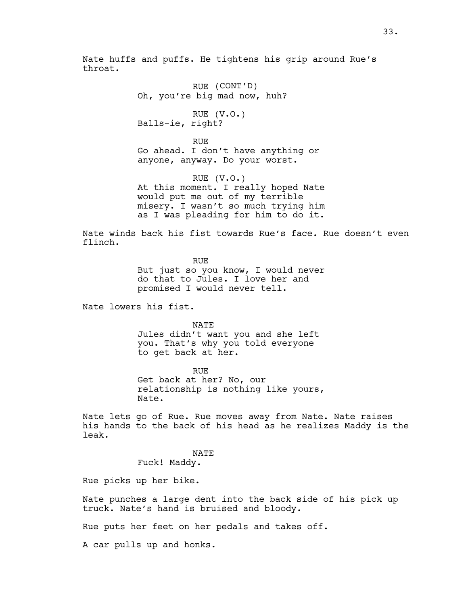Nate huffs and puffs. He tightens his grip around Rue's throat.

> RUE (CONT'D) Oh, you're big mad now, huh?

RUE (V.O.) Balls-ie, right?

RUE Go ahead. I don't have anything or anyone, anyway. Do your worst.

RUE (V.O.) At this moment. I really hoped Nate would put me out of my terrible misery. I wasn't so much trying him as I was pleading for him to do it.

Nate winds back his fist towards Rue's face. Rue doesn't even flinch.

> RUE But just so you know, I would never do that to Jules. I love her and promised I would never tell.

Nate lowers his fist.

NATE Jules didn't want you and she left you. That's why you told everyone to get back at her.

RUE Get back at her? No, our relationship is nothing like yours, Nate.

Nate lets go of Rue. Rue moves away from Nate. Nate raises his hands to the back of his head as he realizes Maddy is the leak.

> NATE Fuck! Maddy.

Rue picks up her bike.

Nate punches a large dent into the back side of his pick up truck. Nate's hand is bruised and bloody.

Rue puts her feet on her pedals and takes off.

A car pulls up and honks.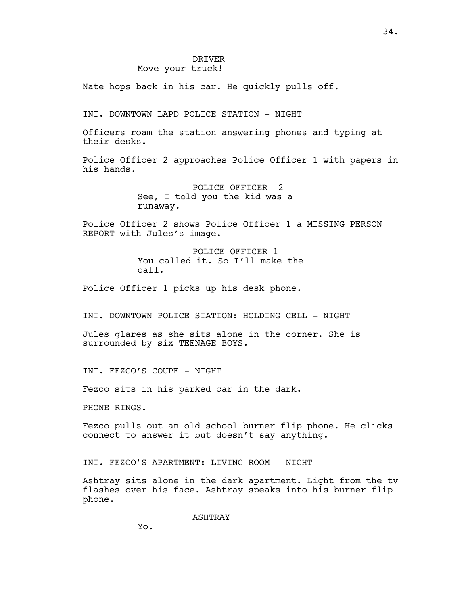## DRIVER Move your truck!

Nate hops back in his car. He quickly pulls off.

INT. DOWNTOWN LAPD POLICE STATION - NIGHT

Officers roam the station answering phones and typing at their desks.

Police Officer 2 approaches Police Officer 1 with papers in his hands.

> POLICE OFFICER 2 See, I told you the kid was a runaway.

Police Officer 2 shows Police Officer 1 a MISSING PERSON REPORT with Jules's image.

> POLICE OFFICER 1 You called it. So I'll make the call.

Police Officer 1 picks up his desk phone.

INT. DOWNTOWN POLICE STATION: HOLDING CELL - NIGHT

Jules glares as she sits alone in the corner. She is surrounded by six TEENAGE BOYS.

INT. FEZCO'S COUPE - NIGHT

Fezco sits in his parked car in the dark.

PHONE RINGS.

Fezco pulls out an old school burner flip phone. He clicks connect to answer it but doesn't say anything.

INT. FEZCO'S APARTMENT: LIVING ROOM - NIGHT

Ashtray sits alone in the dark apartment. Light from the tv flashes over his face. Ashtray speaks into his burner flip phone.

ASHTRAY

34.

Yo.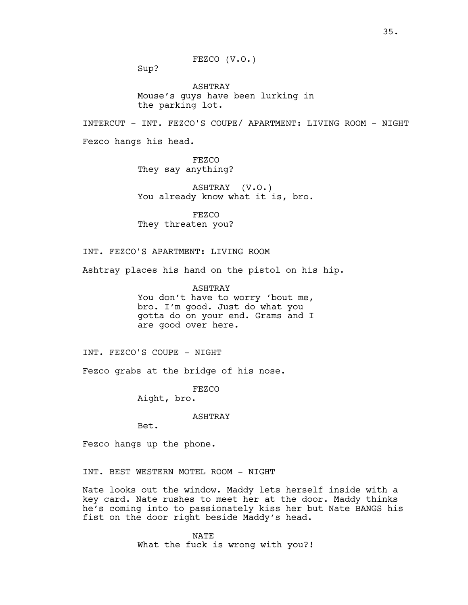FEZCO (V.O.)

Sup?

ASHTRAY Mouse's guys have been lurking in the parking lot.

INTERCUT - INT. FEZCO'S COUPE/ APARTMENT: LIVING ROOM - NIGHT

Fezco hangs his head.

FEZCO They say anything?

ASHTRAY (V.O.) You already know what it is, bro.

FEZCO They threaten you?

INT. FEZCO'S APARTMENT: LIVING ROOM

Ashtray places his hand on the pistol on his hip.

ASHTRAY You don't have to worry 'bout me, bro. I'm good. Just do what you gotta do on your end. Grams and I are good over here.

INT. FEZCO'S COUPE - NIGHT

Fezco grabs at the bridge of his nose.

FEZCO

Aight, bro.

ASHTRAY

Bet.

Fezco hangs up the phone.

INT. BEST WESTERN MOTEL ROOM - NIGHT

Nate looks out the window. Maddy lets herself inside with a key card. Nate rushes to meet her at the door. Maddy thinks he's coming into to passionately kiss her but Nate BANGS his fist on the door right beside Maddy's head.

> NATE What the fuck is wrong with you?!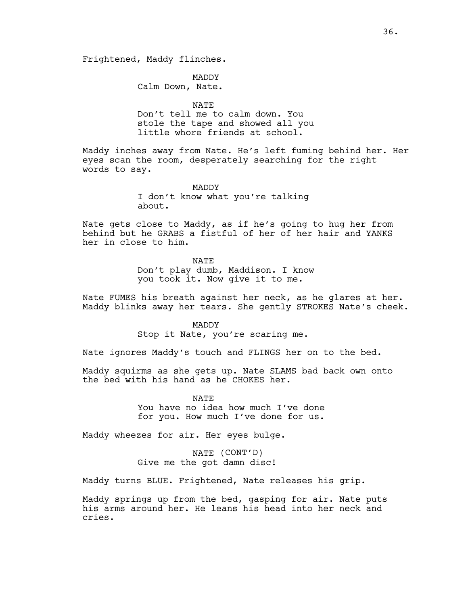Frightened, Maddy flinches.

MADDY Calm Down, Nate.

NATE Don't tell me to calm down. You stole the tape and showed all you little whore friends at school.

Maddy inches away from Nate. He's left fuming behind her. Her eyes scan the room, desperately searching for the right words to say.

> MADDY I don't know what you're talking about.

Nate gets close to Maddy, as if he's going to hug her from behind but he GRABS a fistful of her of her hair and YANKS her in close to him.

> NATE Don't play dumb, Maddison. I know you took it. Now give it to me.

Nate FUMES his breath against her neck, as he glares at her. Maddy blinks away her tears. She gently STROKES Nate's cheek.

> MADDY Stop it Nate, you're scaring me.

Nate ignores Maddy's touch and FLINGS her on to the bed.

Maddy squirms as she gets up. Nate SLAMS bad back own onto the bed with his hand as he CHOKES her.

> NATE You have no idea how much I've done for you. How much I've done for us.

Maddy wheezes for air. Her eyes bulge.

NATE (CONT'D) Give me the got damn disc!

Maddy turns BLUE. Frightened, Nate releases his grip.

Maddy springs up from the bed, gasping for air. Nate puts his arms around her. He leans his head into her neck and cries.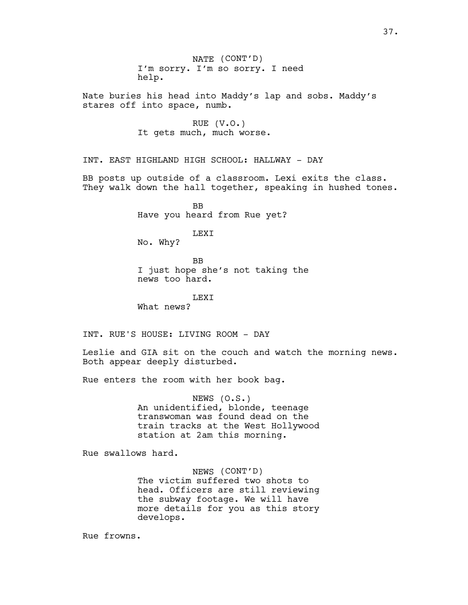Nate buries his head into Maddy's lap and sobs. Maddy's stares off into space, numb.

> RUE (V.O.) It gets much, much worse.

INT. EAST HIGHLAND HIGH SCHOOL: HALLWAY - DAY

BB posts up outside of a classroom. Lexi exits the class. They walk down the hall together, speaking in hushed tones.

> BB Have you heard from Rue yet?

> > LEXI

No. Why?

**BB** I just hope she's not taking the news too hard.

LEXI What news?

INT. RUE'S HOUSE: LIVING ROOM - DAY

Leslie and GIA sit on the couch and watch the morning news. Both appear deeply disturbed.

Rue enters the room with her book bag.

NEWS (O.S.) An unidentified, blonde, teenage transwoman was found dead on the train tracks at the West Hollywood station at 2am this morning.

Rue swallows hard.

NEWS (CONT'D) The victim suffered two shots to head. Officers are still reviewing the subway footage. We will have more details for you as this story develops.

Rue frowns.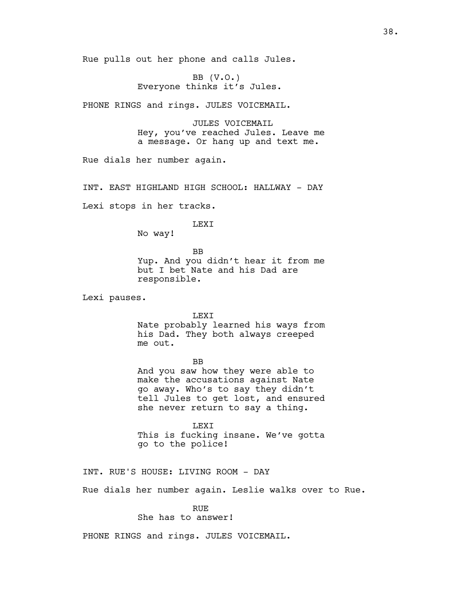Rue pulls out her phone and calls Jules.

BB  $(V.O.)$ Everyone thinks it's Jules.

PHONE RINGS and rings. JULES VOICEMAIL.

JULES VOICEMAIL Hey, you've reached Jules. Leave me a message. Or hang up and text me.

Rue dials her number again.

INT. EAST HIGHLAND HIGH SCHOOL: HALLWAY - DAY

Lexi stops in her tracks.

#### LEXI

No way!

BB Yup. And you didn't hear it from me but I bet Nate and his Dad are responsible.

Lexi pauses.

LEXI

Nate probably learned his ways from his Dad. They both always creeped me out.

BB

And you saw how they were able to make the accusations against Nate go away. Who's to say they didn't tell Jules to get lost, and ensured she never return to say a thing.

LEXI This is fucking insane. We've gotta go to the police!

INT. RUE'S HOUSE: LIVING ROOM - DAY

Rue dials her number again. Leslie walks over to Rue.

# RUE

She has to answer!

PHONE RINGS and rings. JULES VOICEMAIL.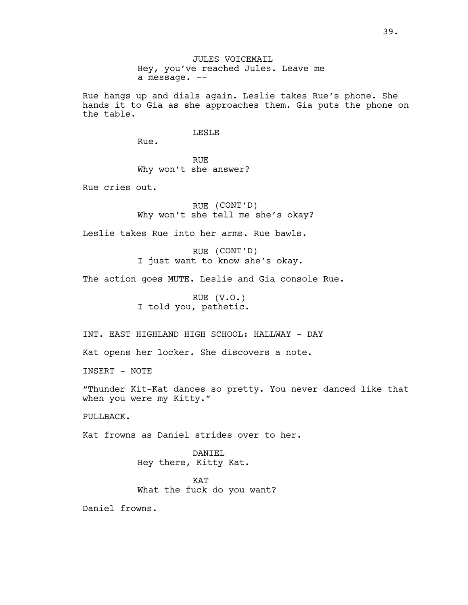JULES VOICEMAIL Hey, you've reached Jules. Leave me a message. --

Rue hangs up and dials again. Leslie takes Rue's phone. She hands it to Gia as she approaches them. Gia puts the phone on the table.

# LESLE

Rue.

RUE Why won't she answer?

Rue cries out.

RUE (CONT'D) Why won't she tell me she's okay?

Leslie takes Rue into her arms. Rue bawls.

RUE (CONT'D) I just want to know she's okay.

The action goes MUTE. Leslie and Gia console Rue.

RUE (V.O.) I told you, pathetic.

INT. EAST HIGHLAND HIGH SCHOOL: HALLWAY - DAY

Kat opens her locker. She discovers a note.

INSERT - NOTE

"Thunder Kit-Kat dances so pretty. You never danced like that when you were my Kitty."

PULLBACK.

Kat frowns as Daniel strides over to her.

DANIEL Hey there, Kitty Kat.

**KAT** What the fuck do you want?

Daniel frowns.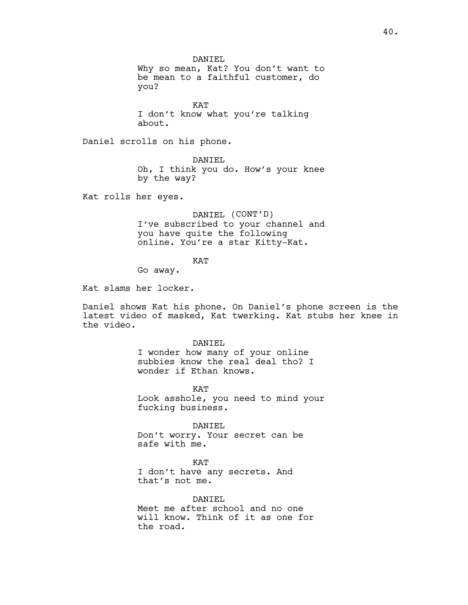DANIEL Why so mean, Kat? You don't want to be mean to a faithful customer, do you?

KAT I don't know what you're talking about.

Daniel scrolls on his phone.

DANIEL Oh, I think you do. How's your knee by the way?

Kat rolls her eyes.

DANIEL (CONT'D) I've subscribed to your channel and you have quite the following online. You're a star Kitty-Kat.

**KAT** 

Go away.

Kat slams her locker.

Daniel shows Kat his phone. On Daniel's phone screen is the latest video of masked, Kat twerking. Kat stubs her knee in the video.

> DANIEL I wonder how many of your online subbies know the real deal tho? I wonder if Ethan knows.

KAT Look asshole, you need to mind your fucking business.

DANIEL Don't worry. Your secret can be safe with me.

KAT I don't have any secrets. And that's not me.

DANIEL Meet me after school and no one will know. Think of it as one for the road.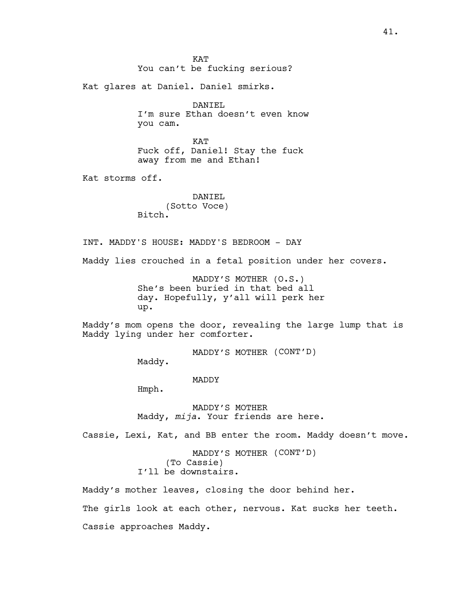**KAT** You can't be fucking serious?

Kat glares at Daniel. Daniel smirks.

DANIEL I'm sure Ethan doesn't even know you cam.

KAT Fuck off, Daniel! Stay the fuck away from me and Ethan!

Kat storms off.

DANIEL (Sotto Voce) Bitch.

INT. MADDY'S HOUSE: MADDY'S BEDROOM - DAY

Maddy lies crouched in a fetal position under her covers.

MADDY'S MOTHER (O.S.) She's been buried in that bed all day. Hopefully, y'all will perk her up.

Maddy's mom opens the door, revealing the large lump that is Maddy lying under her comforter.

MADDY'S MOTHER (CONT'D)

Maddy.

MADDY

Hmph.

MADDY'S MOTHER Maddy, *mija*. Your friends are here.

Cassie, Lexi, Kat, and BB enter the room. Maddy doesn't move.

MADDY'S MOTHER (CONT'D) (To Cassie) I'll be downstairs.

Maddy's mother leaves, closing the door behind her. The girls look at each other, nervous. Kat sucks her teeth. Cassie approaches Maddy.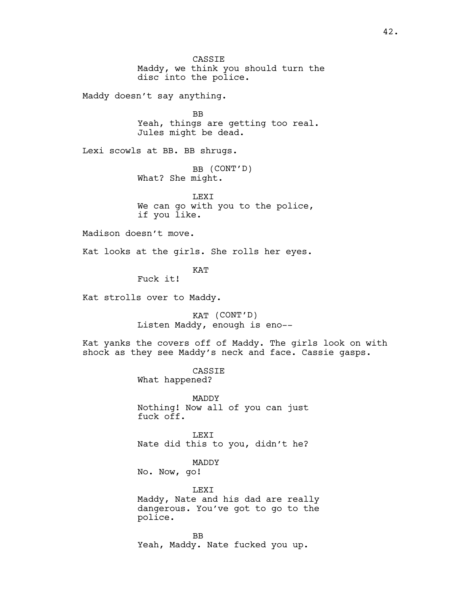CASSIE Maddy, we think you should turn the disc into the police.

Maddy doesn't say anything.

BB Yeah, things are getting too real. Jules might be dead.

Lexi scowls at BB. BB shrugs.

BB (CONT'D) What? She might.

LEXI We can go with you to the police, if you like.

Madison doesn't move.

Kat looks at the girls. She rolls her eyes.

KAT

Fuck it!

Kat strolls over to Maddy.

KAT (CONT'D) Listen Maddy, enough is eno--

Kat yanks the covers off of Maddy. The girls look on with shock as they see Maddy's neck and face. Cassie gasps.

> CASSIE What happened?

MADDY Nothing! Now all of you can just fuck off.

LEXI Nate did this to you, didn't he?

MADDY No. Now, go!

LEXI Maddy, Nate and his dad are really dangerous. You've got to go to the police.

BB Yeah, Maddy. Nate fucked you up.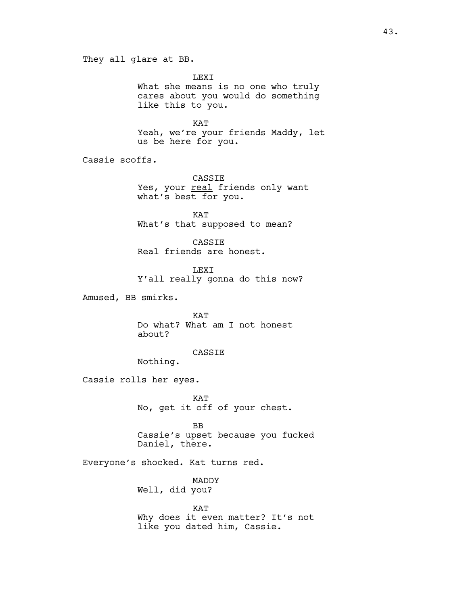They all glare at BB.

LEXI What she means is no one who truly cares about you would do something like this to you.

KAT Yeah, we're your friends Maddy, let us be here for you.

Cassie scoffs.

CASSIE Yes, your real friends only want what's best for you.

KAT What's that supposed to mean?

CASSIE Real friends are honest.

LEXI Y'all really gonna do this now?

Amused, BB smirks.

KAT Do what? What am I not honest about?

CASSIE

Nothing.

Cassie rolls her eyes.

KAT No, get it off of your chest.

BB Cassie's upset because you fucked Daniel, there.

Everyone's shocked. Kat turns red.

MADDY Well, did you?

KAT Why does it even matter? It's not like you dated him, Cassie.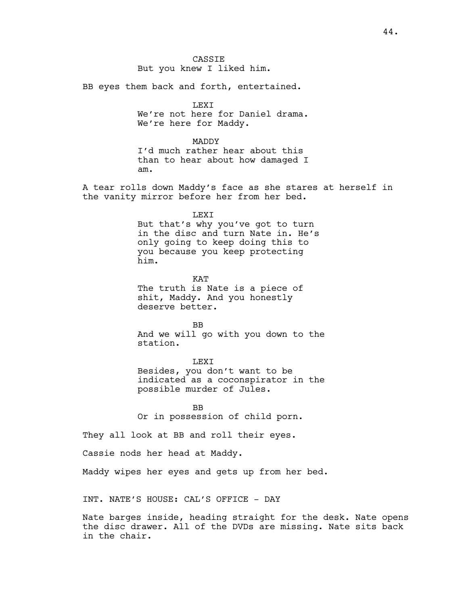**CASSTE** But you knew I liked him.

BB eyes them back and forth, entertained.

LEXI We're not here for Daniel drama.

We're here for Maddy.

MADDY

I'd much rather hear about this than to hear about how damaged I am.

A tear rolls down Maddy's face as she stares at herself in the vanity mirror before her from her bed.

LEXI

But that's why you've got to turn in the disc and turn Nate in. He's only going to keep doing this to you because you keep protecting him.

**KAT** The truth is Nate is a piece of shit, Maddy. And you honestly deserve better.

BB And we will go with you down to the station.

**LEXT** 

Besides, you don't want to be indicated as a coconspirator in the possible murder of Jules.

BB Or in possession of child porn.

They all look at BB and roll their eyes.

Cassie nods her head at Maddy.

Maddy wipes her eyes and gets up from her bed.

INT. NATE'S HOUSE: CAL'S OFFICE - DAY

Nate barges inside, heading straight for the desk. Nate opens the disc drawer. All of the DVDs are missing. Nate sits back in the chair.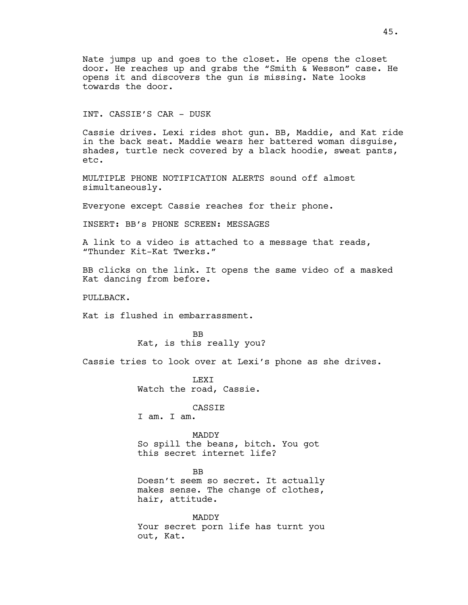Nate jumps up and goes to the closet. He opens the closet door. He reaches up and grabs the "Smith & Wesson" case. He opens it and discovers the gun is missing. Nate looks towards the door.

# INT. CASSIE'S CAR - DUSK

Cassie drives. Lexi rides shot gun. BB, Maddie, and Kat ride in the back seat. Maddie wears her battered woman disguise, shades, turtle neck covered by a black hoodie, sweat pants, etc.

MULTIPLE PHONE NOTIFICATION ALERTS sound off almost simultaneously.

Everyone except Cassie reaches for their phone.

INSERT: BB's PHONE SCREEN: MESSAGES

A link to a video is attached to a message that reads, "Thunder Kit-Kat Twerks."

BB clicks on the link. It opens the same video of a masked Kat dancing from before.

PULLBACK.

Kat is flushed in embarrassment.

BB Kat, is this really you?

Cassie tries to look over at Lexi's phone as she drives.

**LEXT** Watch the road, Cassie.

CASSIE

I am. I am.

#### MADDY

So spill the beans, bitch. You got this secret internet life?

BB Doesn't seem so secret. It actually makes sense. The change of clothes, hair, attitude.

MADDY Your secret porn life has turnt you out, Kat.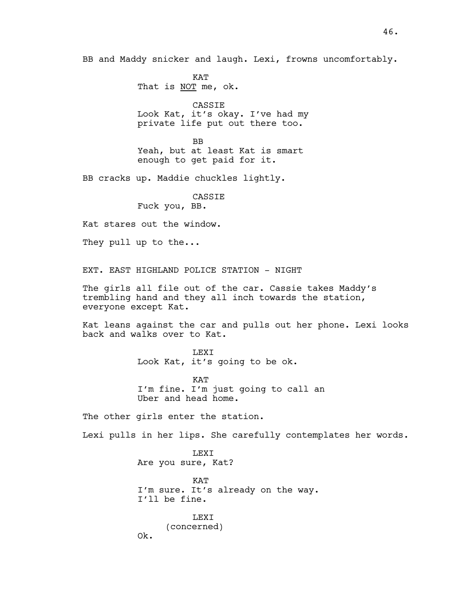BB and Maddy snicker and laugh. Lexi, frowns uncomfortably.

KAT That is NOT me, ok.

CASSIE Look Kat, it's okay. I've had my private life put out there too.

BB Yeah, but at least Kat is smart enough to get paid for it.

BB cracks up. Maddie chuckles lightly.

CASSIE

Fuck you, BB.

Kat stares out the window.

They pull up to the...

EXT. EAST HIGHLAND POLICE STATION - NIGHT

The girls all file out of the car. Cassie takes Maddy's trembling hand and they all inch towards the station, everyone except Kat.

Kat leans against the car and pulls out her phone. Lexi looks back and walks over to Kat.

> LEXI Look Kat, it's going to be ok.

KAT I'm fine. I'm just going to call an Uber and head home.

The other girls enter the station.

Lexi pulls in her lips. She carefully contemplates her words.

LEXI Are you sure, Kat? KAT I'm sure. It's already on the way. I'll be fine. LEXI

(concerned) Ok.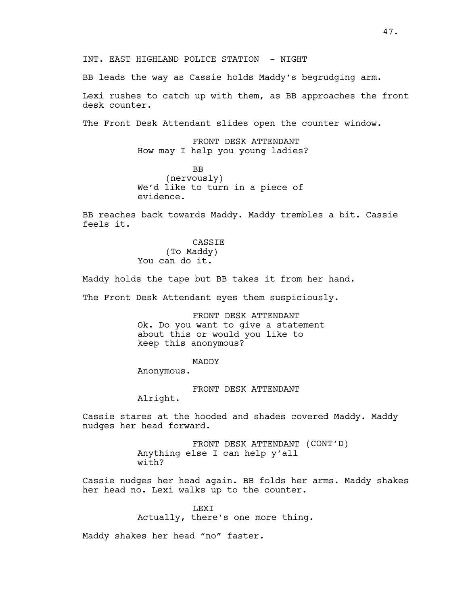BB leads the way as Cassie holds Maddy's begrudging arm.

Lexi rushes to catch up with them, as BB approaches the front desk counter.

The Front Desk Attendant slides open the counter window.

FRONT DESK ATTENDANT How may I help you young ladies?

BB (nervously) We'd like to turn in a piece of evidence.

BB reaches back towards Maddy. Maddy trembles a bit. Cassie feels it.

> CASSIE (To Maddy) You can do it.

Maddy holds the tape but BB takes it from her hand.

The Front Desk Attendant eyes them suspiciously.

FRONT DESK ATTENDANT Ok. Do you want to give a statement about this or would you like to keep this anonymous?

MADDY

Anonymous.

FRONT DESK ATTENDANT

Alright.

Cassie stares at the hooded and shades covered Maddy. Maddy nudges her head forward.

> FRONT DESK ATTENDANT (CONT'D) Anything else I can help y'all with?

Cassie nudges her head again. BB folds her arms. Maddy shakes her head no. Lexi walks up to the counter.

> LEXI Actually, there's one more thing.

Maddy shakes her head "no" faster.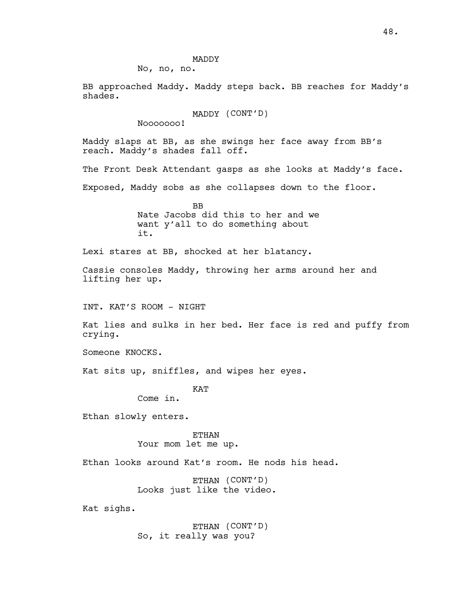# MADDY

No, no, no.

BB approached Maddy. Maddy steps back. BB reaches for Maddy's shades.

MADDY (CONT'D)

Nooooooo!

Maddy slaps at BB, as she swings her face away from BB's reach. Maddy's shades fall off.

The Front Desk Attendant gasps as she looks at Maddy's face.

Exposed, Maddy sobs as she collapses down to the floor.

BB Nate Jacobs did this to her and we want y'all to do something about it.

Lexi stares at BB, shocked at her blatancy.

Cassie consoles Maddy, throwing her arms around her and lifting her up.

INT. KAT'S ROOM - NIGHT

Kat lies and sulks in her bed. Her face is red and puffy from crying.

Someone KNOCKS.

Kat sits up, sniffles, and wipes her eyes.

KAT

Come in.

Ethan slowly enters.

## ETHAN Your mom let me up.

Ethan looks around Kat's room. He nods his head.

ETHAN (CONT'D) Looks just like the video.

Kat sighs.

ETHAN (CONT'D) So, it really was you?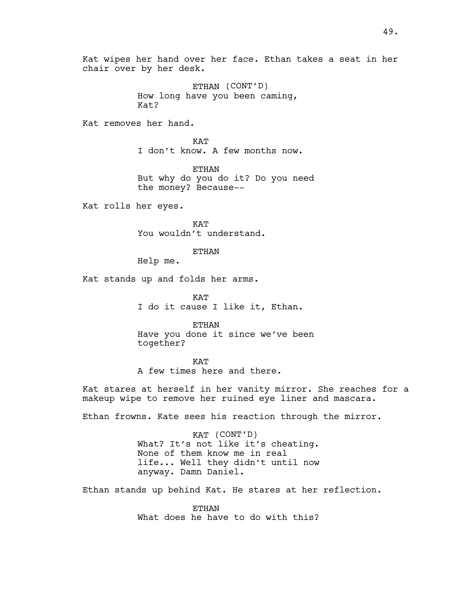Kat wipes her hand over her face. Ethan takes a seat in her chair over by her desk.

> ETHAN (CONT'D) How long have you been caming, Kat?

Kat removes her hand.

KAT I don't know. A few months now.

ETHAN But why do you do it? Do you need the money? Because--

Kat rolls her eyes.

KAT You wouldn't understand.

ETHAN

Help me.

Kat stands up and folds her arms.

KAT I do it cause I like it, Ethan.

ETHAN Have you done it since we've been together?

**KAT** A few times here and there.

Kat stares at herself in her vanity mirror. She reaches for a makeup wipe to remove her ruined eye liner and mascara.

Ethan frowns. Kate sees his reaction through the mirror.

KAT (CONT'D) What? It's not like it's cheating. None of them know me in real life... Well they didn't until now anyway. Damn Daniel.

Ethan stands up behind Kat. He stares at her reflection.

ETHAN What does he have to do with this?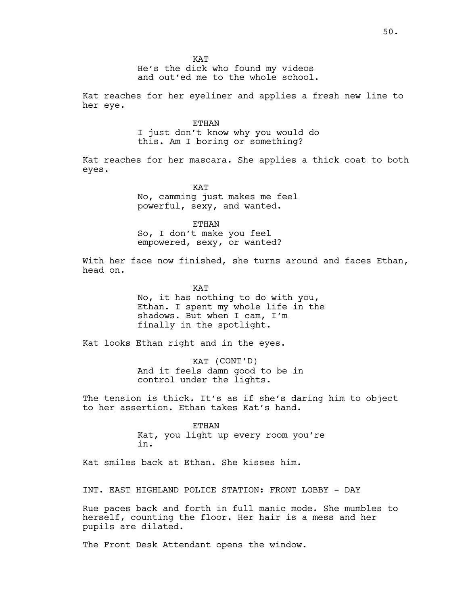He's the dick who found my videos and out'ed me to the whole school.

Kat reaches for her eyeliner and applies a fresh new line to her eye.

ETHAN

I just don't know why you would do this. Am I boring or something?

Kat reaches for her mascara. She applies a thick coat to both eyes.

> **KAT** No, camming just makes me feel powerful, sexy, and wanted.

ETHAN So, I don't make you feel

empowered, sexy, or wanted?

With her face now finished, she turns around and faces Ethan, head on.

KAT

No, it has nothing to do with you, Ethan. I spent my whole life in the shadows. But when I cam, I'm finally in the spotlight.

Kat looks Ethan right and in the eyes.

KAT (CONT'D) And it feels damn good to be in control under the lights.

The tension is thick. It's as if she's daring him to object to her assertion. Ethan takes Kat's hand.

> ETHAN Kat, you light up every room you're in.

Kat smiles back at Ethan. She kisses him.

INT. EAST HIGHLAND POLICE STATION: FRONT LOBBY - DAY

Rue paces back and forth in full manic mode. She mumbles to herself, counting the floor. Her hair is a mess and her pupils are dilated.

The Front Desk Attendant opens the window.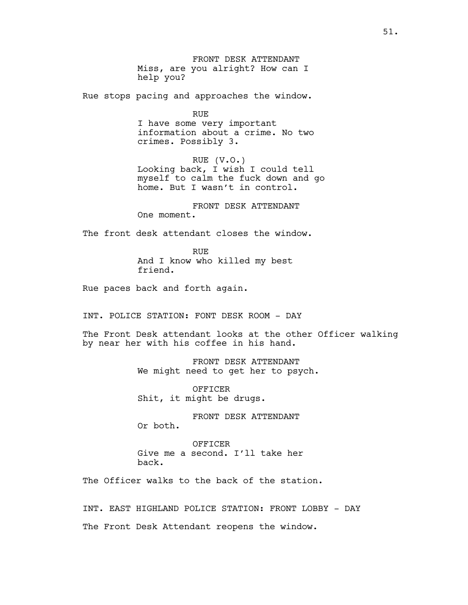FRONT DESK ATTENDANT Miss, are you alright? How can I help you?

Rue stops pacing and approaches the window.

RUE I have some very important information about a crime. No two crimes. Possibly 3.

RUE (V.O.) Looking back, I wish I could tell myself to calm the fuck down and go home. But I wasn't in control.

FRONT DESK ATTENDANT One moment.

The front desk attendant closes the window.

RUE And I know who killed my best friend.

Rue paces back and forth again.

INT. POLICE STATION: FONT DESK ROOM - DAY

The Front Desk attendant looks at the other Officer walking by near her with his coffee in his hand.

> FRONT DESK ATTENDANT We might need to get her to psych.

OFFICER Shit, it might be drugs.

FRONT DESK ATTENDANT Or both.

OFFICER Give me a second. I'll take her back.

The Officer walks to the back of the station.

INT. EAST HIGHLAND POLICE STATION: FRONT LOBBY - DAY The Front Desk Attendant reopens the window.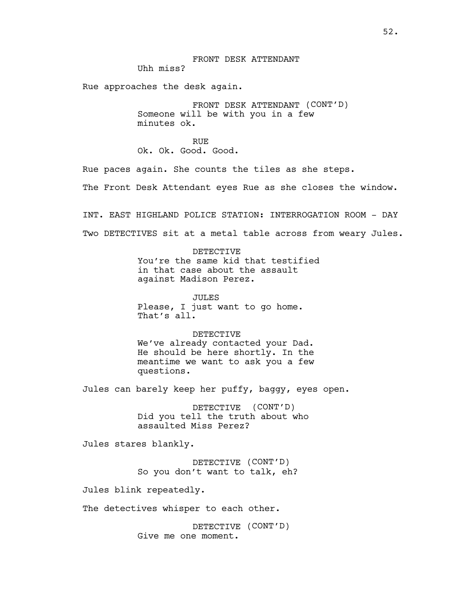Rue approaches the desk again.

FRONT DESK ATTENDANT (CONT'D) Someone will be with you in a few minutes ok.

RUE Ok. Ok. Good. Good.

Rue paces again. She counts the tiles as she steps.

The Front Desk Attendant eyes Rue as she closes the window.

INT. EAST HIGHLAND POLICE STATION: INTERROGATION ROOM - DAY Two DETECTIVES sit at a metal table across from weary Jules.

> DETECTIVE You're the same kid that testified in that case about the assault against Madison Perez.

JULES Please, I just want to go home. That's all.

DETECTIVE We've already contacted your Dad. He should be here shortly. In the meantime we want to ask you a few questions.

Jules can barely keep her puffy, baggy, eyes open.

DETECTIVE (CONT'D) Did you tell the truth about who assaulted Miss Perez?

Jules stares blankly.

DETECTIVE (CONT'D) So you don't want to talk, eh?

Jules blink repeatedly.

The detectives whisper to each other.

DETECTIVE (CONT'D) Give me one moment.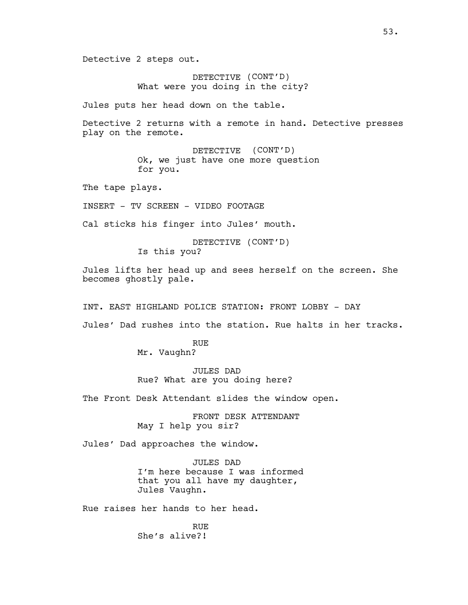Detective 2 steps out.

DETECTIVE (CONT'D) What were you doing in the city?

Jules puts her head down on the table.

Detective 2 returns with a remote in hand. Detective presses play on the remote.

> DETECTIVE (CONT'D) Ok, we just have one more question for you.

The tape plays.

INSERT - TV SCREEN - VIDEO FOOTAGE

Cal sticks his finger into Jules' mouth.

DETECTIVE (CONT'D) Is this you?

Jules lifts her head up and sees herself on the screen. She becomes ghostly pale.

INT. EAST HIGHLAND POLICE STATION: FRONT LOBBY - DAY

Jules' Dad rushes into the station. Rue halts in her tracks.

RUE Mr. Vaughn?

JULES DAD Rue? What are you doing here?

The Front Desk Attendant slides the window open.

FRONT DESK ATTENDANT May I help you sir?

Jules' Dad approaches the window.

JULES DAD I'm here because I was informed that you all have my daughter, Jules Vaughn.

Rue raises her hands to her head.

RUE She's alive?!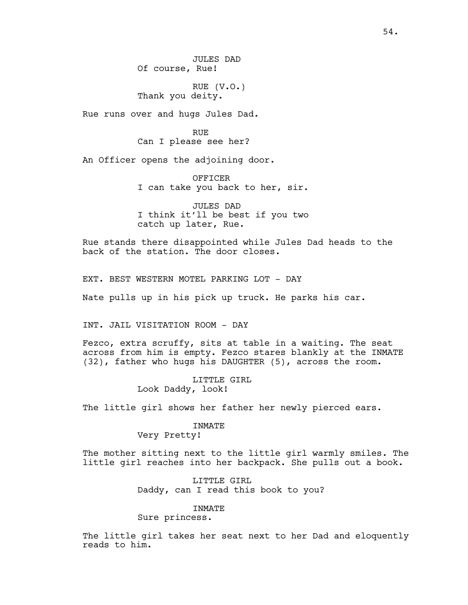JULES DAD Of course, Rue!

RUE (V.O.) Thank you deity.

Rue runs over and hugs Jules Dad.

RUE Can I please see her?

An Officer opens the adjoining door.

OFFICER I can take you back to her, sir.

JULES DAD I think it'll be best if you two catch up later, Rue.

Rue stands there disappointed while Jules Dad heads to the back of the station. The door closes.

EXT. BEST WESTERN MOTEL PARKING LOT - DAY

Nate pulls up in his pick up truck. He parks his car.

INT. JAIL VISITATION ROOM - DAY

Fezco, extra scruffy, sits at table in a waiting. The seat across from him is empty. Fezco stares blankly at the INMATE (32), father who hugs his DAUGHTER (5), across the room.

> LITTLE GIRL Look Daddy, look!

The little girl shows her father her newly pierced ears.

#### INMATE

Very Pretty!

The mother sitting next to the little girl warmly smiles. The little girl reaches into her backpack. She pulls out a book.

> LITTLE GIRL Daddy, can I read this book to you?

# INMATE

Sure princess.

The little girl takes her seat next to her Dad and eloquently reads to him.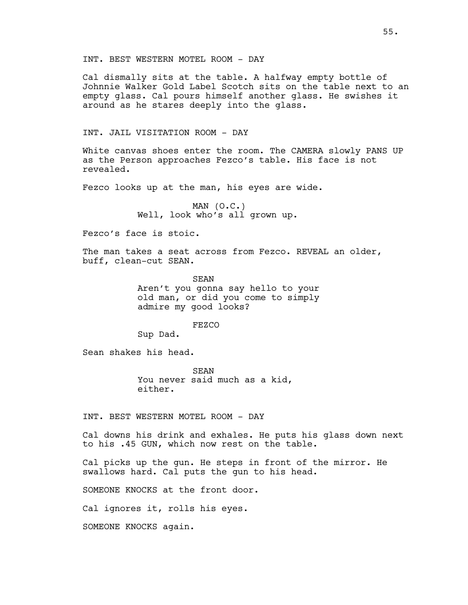INT. BEST WESTERN MOTEL ROOM - DAY

Cal dismally sits at the table. A halfway empty bottle of Johnnie Walker Gold Label Scotch sits on the table next to an empty glass. Cal pours himself another glass. He swishes it around as he stares deeply into the glass.

# INT. JAIL VISITATION ROOM - DAY

White canvas shoes enter the room. The CAMERA slowly PANS UP as the Person approaches Fezco's table. His face is not revealed.

Fezco looks up at the man, his eyes are wide.

MAN (O.C.) Well, look who's all grown up.

Fezco's face is stoic.

The man takes a seat across from Fezco. REVEAL an older, buff, clean-cut SEAN.

> SEAN Aren't you gonna say hello to your old man, or did you come to simply admire my good looks?

> > FEZCO

Sup Dad.

Sean shakes his head.

SEAN You never said much as a kid, either.

INT. BEST WESTERN MOTEL ROOM - DAY

Cal downs his drink and exhales. He puts his glass down next to his .45 GUN, which now rest on the table.

Cal picks up the gun. He steps in front of the mirror. He swallows hard. Cal puts the gun to his head.

SOMEONE KNOCKS at the front door.

Cal ignores it, rolls his eyes.

SOMEONE KNOCKS again.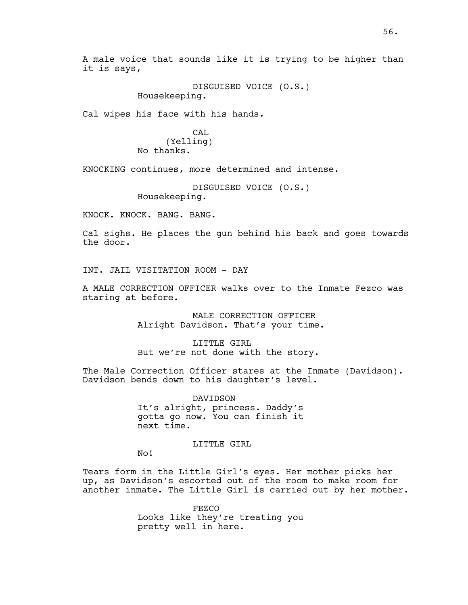A male voice that sounds like it is trying to be higher than it is says,

> DISGUISED VOICE (O.S.) Housekeeping.

Cal wipes his face with his hands.

CAL (Yelling) No thanks.

KNOCKING continues, more determined and intense.

```
DISGUISED VOICE (O.S.)
Housekeeping.
```
KNOCK. KNOCK. BANG. BANG.

Cal sighs. He places the gun behind his back and goes towards the door.

INT. JAIL VISITATION ROOM - DAY

A MALE CORRECTION OFFICER walks over to the Inmate Fezco was staring at before.

> MALE CORRECTION OFFICER Alright Davidson. That's your time.

LITTLE GIRL But we're not done with the story.

The Male Correction Officer stares at the Inmate (Davidson). Davidson bends down to his daughter's level.

> DAVIDSON It's alright, princess. Daddy's gotta go now. You can finish it next time.

> > LITTLE GIRL

No!

Tears form in the Little Girl's eyes. Her mother picks her up, as Davidson's escorted out of the room to make room for another inmate. The Little Girl is carried out by her mother.

> FEZCO Looks like they're treating you pretty well in here.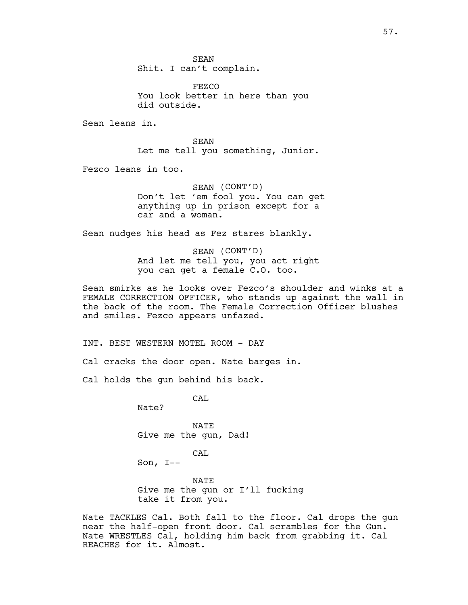SEAN Shit. I can't complain.

FEZCO You look better in here than you did outside.

Sean leans in.

SEAN Let me tell you something, Junior.

Fezco leans in too.

SEAN (CONT'D) Don't let 'em fool you. You can get anything up in prison except for a car and a woman.

Sean nudges his head as Fez stares blankly.

SEAN (CONT'D) And let me tell you, you act right you can get a female C.O. too.

Sean smirks as he looks over Fezco's shoulder and winks at a FEMALE CORRECTION OFFICER, who stands up against the wall in the back of the room. The Female Correction Officer blushes and smiles. Fezco appears unfazed.

INT. BEST WESTERN MOTEL ROOM - DAY

Cal cracks the door open. Nate barges in.

Cal holds the gun behind his back.

CAL

Nate?

NATE Give me the gun, Dad!

CAL

Son, I--

NATE Give me the gun or I'll fucking take it from you.

Nate TACKLES Cal. Both fall to the floor. Cal drops the gun near the half-open front door. Cal scrambles for the Gun. Nate WRESTLES Cal, holding him back from grabbing it. Cal REACHES for it. Almost.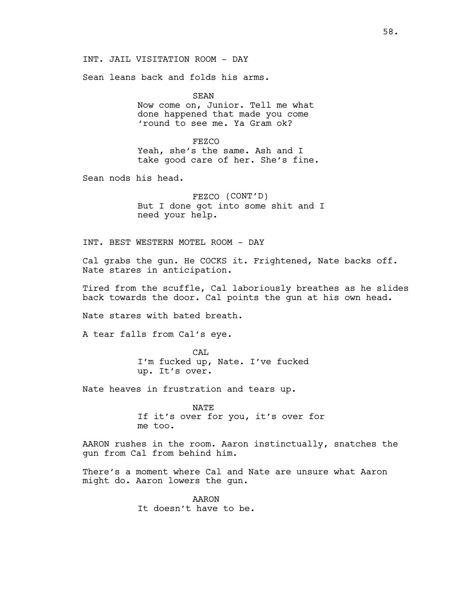INT. JAIL VISITATION ROOM - DAY

Sean leans back and folds his arms.

SEAN Now come on, Junior. Tell me what done happened that made you come 'round to see me. Ya Gram ok?

FEZCO Yeah, she's the same. Ash and I take good care of her. She's fine.

Sean nods his head.

FEZCO (CONT'D) But I done got into some shit and I need your help.

INT. BEST WESTERN MOTEL ROOM - DAY

Cal grabs the gun. He COCKS it. Frightened, Nate backs off. Nate stares in anticipation.

Tired from the scuffle, Cal laboriously breathes as he slides back towards the door. Cal points the gun at his own head.

Nate stares with bated breath.

A tear falls from Cal's eye.

CAL I'm fucked up, Nate. I've fucked up. It's over.

Nate heaves in frustration and tears up.

NATE If it's over for you, it's over for me too.

AARON rushes in the room. Aaron instinctually, snatches the gun from Cal from behind him.

There's a moment where Cal and Nate are unsure what Aaron might do. Aaron lowers the gun.

> AARON It doesn't have to be.